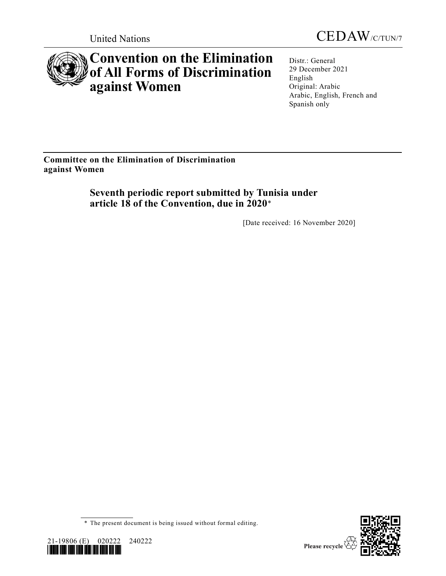



# **Convention on the Elimination of All Forms of Discrimination against Women**

Distr.: General 29 December 2021 English Original: Arabic Arabic, English, French and Spanish only

**Committee on the Elimination of Discrimination against Women**

> **Seventh periodic report submitted by Tunisia under article 18 of the Convention, due in 2020**\*

> > [Date received: 16 November 2020]

<sup>\*</sup> The present document is being issued without formal editing.



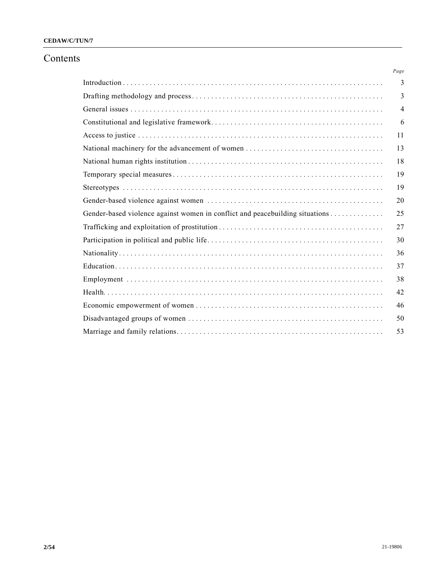# **CEDAW/C/TUN/7**

# Contents

|                                                                              | Page |
|------------------------------------------------------------------------------|------|
|                                                                              | 3    |
|                                                                              | 3    |
|                                                                              | 4    |
|                                                                              | 6    |
|                                                                              | 11   |
|                                                                              | 13   |
|                                                                              | 18   |
|                                                                              | 19   |
|                                                                              | 19   |
|                                                                              | 20   |
| Gender-based violence against women in conflict and peacebuilding situations | 25   |
|                                                                              | 27   |
|                                                                              | 30   |
|                                                                              | 36   |
|                                                                              | 37   |
|                                                                              | 38   |
|                                                                              | 42   |
|                                                                              | 46   |
|                                                                              | 50   |
|                                                                              | 53   |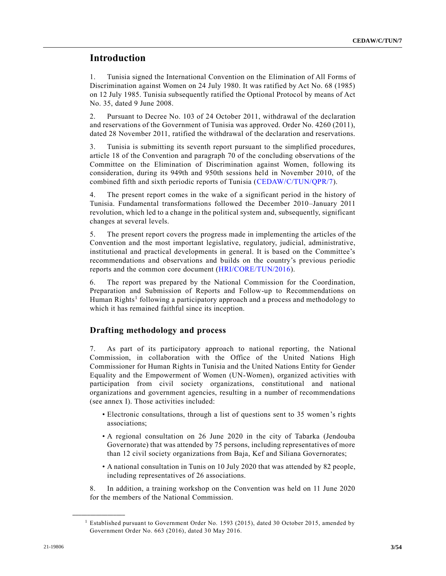# **Introduction**

1. Tunisia signed the International Convention on the Elimination of All Forms of Discrimination against Women on 24 July 1980. It was ratified by Act No. 68 (1985) on 12 July 1985. Tunisia subsequently ratified the Optional Protocol by means of Act No. 35, dated 9 June 2008.

2. Pursuant to Decree No. 103 of 24 October 2011, withdrawal of the declaration and reservations of the Government of Tunisia was approved. Order No. 4260 (2011), dated 28 November 2011, ratified the withdrawal of the declaration and reservations.

3. Tunisia is submitting its seventh report pursuant to the simplified procedures, article 18 of the Convention and paragraph 70 of the concluding observations of the Committee on the Elimination of Discrimination against Women, following its consideration, during its 949th and 950th sessions held in November 2010, of the combined fifth and sixth periodic reports of Tunisia [\(CEDAW/C/TUN/QPR/7\)](https://undocs.org/en/CEDAW/C/TUN/QPR/7).

4. The present report comes in the wake of a significant period in the history of Tunisia. Fundamental transformations followed the December 2010–January 2011 revolution, which led to a change in the political system and, subsequently, significant changes at several levels.

5. The present report covers the progress made in implementing the articles of the Convention and the most important legislative, regulatory, judicial, administrative, institutional and practical developments in general. It is based on the Committee's recommendations and observations and builds on the country's previous periodic reports and the common core document [\(HRI/CORE/TUN/2016\)](https://undocs.org/en/HRI/CORE/TUN/2016).

6. The report was prepared by the National Commission for the Coordination, Preparation and Submission of Reports and Follow-up to Recommendations on Human Rights<sup>1</sup> following a participatory approach and a process and methodology to which it has remained faithful since its inception.

# **Drafting methodology and process**

7. As part of its participatory approach to national reporting, the National Commission, in collaboration with the Office of the United Nations High Commissioner for Human Rights in Tunisia and the United Nations Entity for Gender Equality and the Empowerment of Women (UN-Women), organized activities with participation from civil society organizations, constitutional and national organizations and government agencies, resulting in a number of recommendations (see annex I). Those activities included:

- Electronic consultations, through a list of questions sent to 35 women's rights associations;
- A regional consultation on 26 June 2020 in the city of Tabarka (Jendouba Governorate) that was attended by 75 persons, including representatives of more than 12 civil society organizations from Baja, Kef and Siliana Governorates;
- A national consultation in Tunis on 10 July 2020 that was attended by 82 people, including representatives of 26 associations.

8. In addition, a training workshop on the Convention was held on 11 June 2020 for the members of the National Commission.

<sup>1</sup> Established pursuant to Government Order No. 1593 (2015), dated 30 October 2015, amended by Government Order No. 663 (2016), dated 30 May 2016.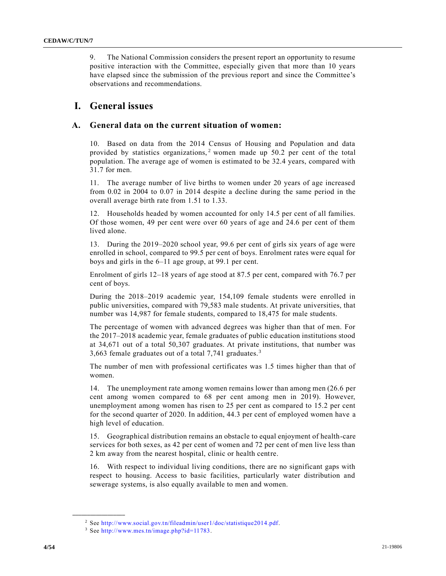9. The National Commission considers the present report an opportunity to resume positive interaction with the Committee, especially given that more than 10 years have elapsed since the submission of the previous report and since the Committee's observations and recommendations.

# **I. General issues**

### **A. General data on the current situation of women:**

10. Based on data from the 2014 Census of Housing and Population and data provided by statistics organizations,<sup>2</sup> women made up 50.2 per cent of the total population. The average age of women is estimated to be 32.4 years, compared with 31.7 for men.

11. The average number of live births to women under 20 years of age increased from 0.02 in 2004 to 0.07 in 2014 despite a decline during the same period in the overall average birth rate from 1.51 to 1.33.

12. Households headed by women accounted for only 14.5 per cent of all families. Of those women, 49 per cent were over 60 years of age and 24.6 per cent of them lived alone.

13. During the 2019–2020 school year, 99.6 per cent of girls six years of age were enrolled in school, compared to 99.5 per cent of boys. Enrolment rates were equal for boys and girls in the 6–11 age group, at 99.1 per cent.

Enrolment of girls 12–18 years of age stood at 87.5 per cent, compared with 76.7 per cent of boys.

During the 2018–2019 academic year, 154,109 female students were enrolled in public universities, compared with 79,583 male students. At private universities, that number was 14,987 for female students, compared to 18,475 for male students.

The percentage of women with advanced degrees was higher than that of men. For the 2017–2018 academic year, female graduates of public education institutions stood at 34,671 out of a total 50,307 graduates. At private institutions, that number was 3,663 female graduates out of a total 7,741 graduates. <sup>3</sup>

The number of men with professional certificates was 1.5 times higher than that of women.

14. The unemployment rate among women remains lower than among men (26.6 per cent among women compared to 68 per cent among men in 2019). However, unemployment among women has risen to 25 per cent as compared to 15.2 per cent for the second quarter of 2020. In addition, 44.3 per cent of employed women have a high level of education.

15. Geographical distribution remains an obstacle to equal enjoyment of health-care services for both sexes, as 42 per cent of women and 72 per cent of men live less than 2 km away from the nearest hospital, clinic or health centre.

16. With respect to individual living conditions, there are no significant gaps with respect to housing. Access to basic facilities, particularly water distribution and sewerage systems, is also equally available to men and women.

<sup>2</sup> See [http://www.social.gov.tn/fileadmin/user1/doc/statistique2014.pdf.](http://www.social.gov.tn/fileadmin/user1/doc/statistique2014.pdf)

<sup>3</sup> See [http://www.mes.tn/image.php?id=11783.](http://www.mes.tn/image.php?id=11783)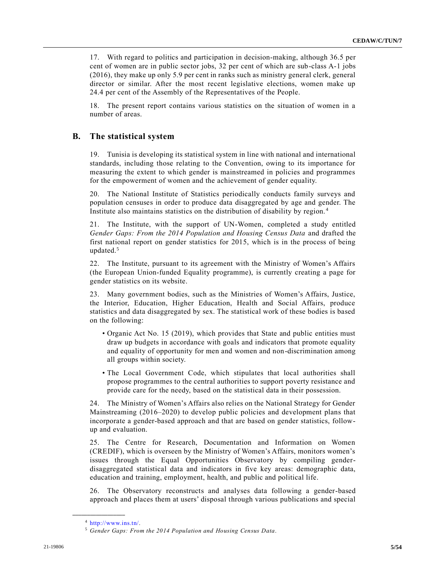17. With regard to politics and participation in decision-making, although 36.5 per cent of women are in public sector jobs, 32 per cent of which are sub-class A-1 jobs (2016), they make up only 5.9 per cent in ranks such as ministry general clerk, general director or similar. After the most recent legislative elections, women make up 24.4 per cent of the Assembly of the Representatives of the People.

18. The present report contains various statistics on the situation of women in a number of areas.

#### **B. The statistical system**

19. Tunisia is developing its statistical system in line with national and international standards, including those relating to the Convention, owing to its importance for measuring the extent to which gender is mainstreamed in policies and programmes for the empowerment of women and the achievement of gender equality.

20. The National Institute of Statistics periodically conducts family surveys and population censuses in order to produce data disaggregated by age and gender. The Institute also maintains statistics on the distribution of disability by region. <sup>4</sup>

21. The Institute, with the support of UN-Women, completed a study entitled *Gender Gaps: From the 2014 Population and Housing Census Data* and drafted the first national report on gender statistics for 2015, which is in the process of being updated.<sup>5</sup>

22. The Institute, pursuant to its agreement with the Ministry of Women's Affairs (the European Union-funded Equality programme), is currently creating a page for gender statistics on its website.

23. Many government bodies, such as the Ministries of Women's Affairs, Justice, the Interior, Education, Higher Education, Health and Social Affairs, produce statistics and data disaggregated by sex. The statistical work of these bodies is based on the following:

- Organic Act No. 15 (2019), which provides that State and public entities must draw up budgets in accordance with goals and indicators that promote equality and equality of opportunity for men and women and non-discrimination among all groups within society.
- The Local Government Code, which stipulates that local authorities shall propose programmes to the central authorities to support poverty resistance and provide care for the needy, based on the statistical data in their possession.

24. The Ministry of Women's Affairs also relies on the National Strategy for Gender Mainstreaming (2016–2020) to develop public policies and development plans that incorporate a gender-based approach and that are based on gender statistics, followup and evaluation.

25. The Centre for Research, Documentation and Information on Women (CREDIF), which is overseen by the Ministry of Women's Affairs, monitors women's issues through the Equal Opportunities Observatory by compiling genderdisaggregated statistical data and indicators in five key areas: demographic data, education and training, employment, health, and public and political life.

26. The Observatory reconstructs and analyses data following a gender-based approach and places them at users' disposal through various publications and special

<sup>4</sup> [http://www.ins.tn/.](http://www.ins.tn/)

<sup>5</sup> *Gender Gaps: From the 2014 Population and Housing Census Data*.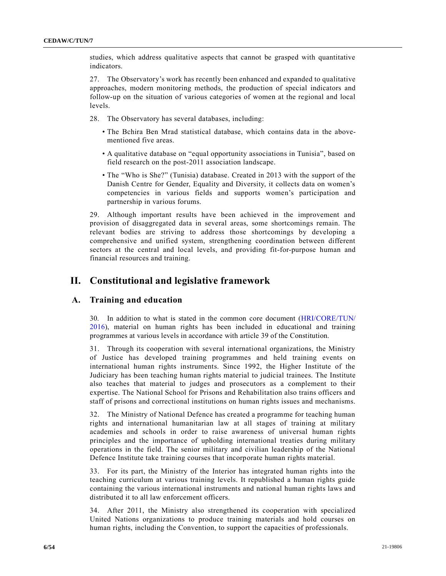studies, which address qualitative aspects that cannot be grasped with quantitative indicators.

27. The Observatory's work has recently been enhanced and expanded to qualitative approaches, modern monitoring methods, the production of special indicators and follow-up on the situation of various categories of women at the regional and local levels.

- 28. The Observatory has several databases, including:
	- The Bchira Ben Mrad statistical database, which contains data in the abovementioned five areas.
	- A qualitative database on "equal opportunity associations in Tunisia", based on field research on the post-2011 association landscape.
	- The "Who is She?" (Tunisia) database. Created in 2013 with the support of the Danish Centre for Gender, Equality and Diversity, it collects data on women's competencies in various fields and supports women's participation and partnership in various forums.

29. Although important results have been achieved in the improvement and provision of disaggregated data in several areas, some shortcomings remain. The relevant bodies are striving to address those shortcomings by developing a comprehensive and unified system, strengthening coordination between different sectors at the central and local levels, and providing fit-for-purpose human and financial resources and training.

# **II. Constitutional and legislative framework**

### **A. Training and education**

30. In addition to what is stated in the common core document [\(HRI/CORE/TUN/](https://undocs.org/en/HRI/CORE/TUN/2016)  [2016\)](https://undocs.org/en/HRI/CORE/TUN/2016), material on human rights has been included in educational and training programmes at various levels in accordance with article 39 of the Constitution.

31. Through its cooperation with several international organizations, the Ministry of Justice has developed training programmes and held training events on international human rights instruments. Since 1992, the Higher Institute of the Judiciary has been teaching human rights material to judicial trainees. The Institute also teaches that material to judges and prosecutors as a complement to their expertise. The National School for Prisons and Rehabilitation also trains officers and staff of prisons and correctional institutions on human rights issues and mechanisms.

32. The Ministry of National Defence has created a programme for teaching human rights and international humanitarian law at all stages of training at military academies and schools in order to raise awareness of universal human rights principles and the importance of upholding international treaties during military operations in the field. The senior military and civilian leadership of the National Defence Institute take training courses that incorporate human rights material.

33. For its part, the Ministry of the Interior has integrated human rights into the teaching curriculum at various training levels. It republished a human rights guide containing the various international instruments and national human rights laws and distributed it to all law enforcement officers.

34. After 2011, the Ministry also strengthened its cooperation with specialized United Nations organizations to produce training materials and hold courses on human rights, including the Convention, to support the capacities of professionals.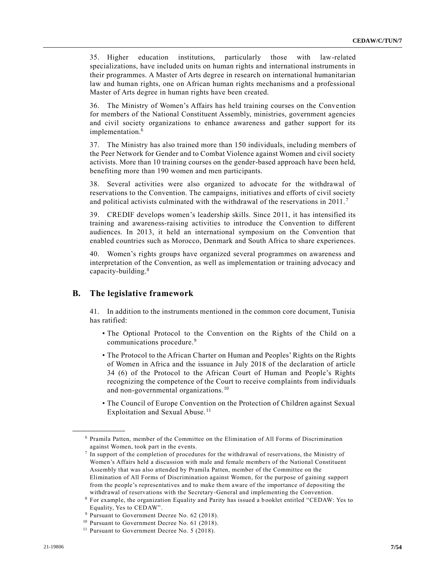35. Higher education institutions, particularly those with law-related specializations, have included units on human rights and international instruments in their programmes. A Master of Arts degree in research on international humanitarian law and human rights, one on African human rights mechanisms and a professional Master of Arts degree in human rights have been created.

36. The Ministry of Women's Affairs has held training courses on the Convention for members of the National Constituent Assembly, ministries, government agencies and civil society organizations to enhance awareness and gather support for its implementation.<sup>6</sup>

37. The Ministry has also trained more than 150 individuals, including members of the Peer Network for Gender and to Combat Violence against Women and civil society activists. More than 10 training courses on the gender-based approach have been held, benefiting more than 190 women and men participants.

38. Several activities were also organized to advocate for the withdrawal of reservations to the Convention. The campaigns, initiatives and efforts of civil society and political activists culminated with the withdrawal of the reservations in 2011. <sup>7</sup>

39. CREDIF develops women's leadership skills. Since 2011, it has intensified its training and awareness-raising activities to introduce the Convention to different audiences. In 2013, it held an international symposium on the Convention that enabled countries such as Morocco, Denmark and South Africa to share experiences.

40. Women's rights groups have organized several programmes on awareness and interpretation of the Convention, as well as implementation or training advocacy and capacity-building.<sup>8</sup>

### **B. The legislative framework**

**\_\_\_\_\_\_\_\_\_\_\_\_\_\_\_\_\_\_**

41. In addition to the instruments mentioned in the common core document, Tunisia has ratified:

- The Optional Protocol to the Convention on the Rights of the Child on a communications procedure.<sup>9</sup>
- The Protocol to the African Charter on Human and Peoples' Rights on the Rights of Women in Africa and the issuance in July 2018 of the declaration of article 34 (6) of the Protocol to the African Court of Human and People's Rights recognizing the competence of the Court to receive complaints from individuals and non-governmental organizations.<sup>10</sup>
- The Council of Europe Convention on the Protection of Children against Sexual Exploitation and Sexual Abuse.<sup>11</sup>

<sup>6</sup> Pramila Patten, member of the Committee on the Elimination of All Forms of Discrimination against Women, took part in the events.

<sup>7</sup> In support of the completion of procedures for the withdrawal of reservations, the Ministry of Women's Affairs held a discussion with male and female members of the National Constituent Assembly that was also attended by Pramila Patten, member of the Committee on the Elimination of All Forms of Discrimination against Women, for the purpose of gaining support from the people's representatives and to make them aware of the importance of depositing the withdrawal of reservations with the Secretary-General and implementing the Convention.

<sup>8</sup> For example, the organization Equality and Parity has issued a b ooklet entitled "CEDAW: Yes to Equality, Yes to CEDAW".

<sup>&</sup>lt;sup>9</sup> Pursuant to Government Decree No. 62 (2018).

<sup>&</sup>lt;sup>10</sup> Pursuant to Government Decree No. 61 (2018).

<sup>&</sup>lt;sup>11</sup> Pursuant to Government Decree No.  $5$  (2018).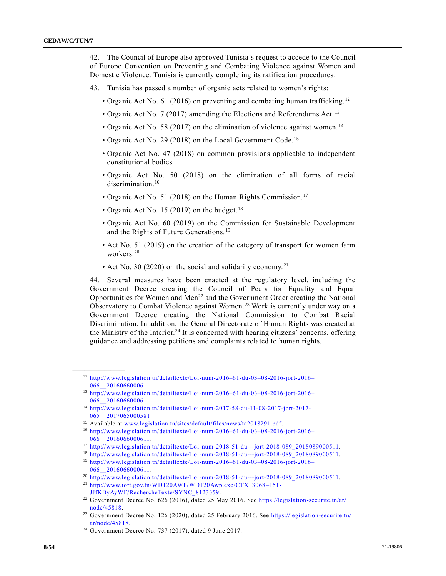42. The Council of Europe also approved Tunisia's request to accede to the Council of Europe Convention on Preventing and Combating Violence against Women and Domestic Violence. Tunisia is currently completing its ratification procedures.

- 43. Tunisia has passed a number of organic acts related to women's rights:
	- Organic Act No. 61 (2016) on preventing and combating human trafficking.<sup>12</sup>
	- Organic Act No. 7 (2017) amending the Elections and Referendums Act.<sup>13</sup>
	- Organic Act No. 58 (2017) on the elimination of violence against women.<sup>14</sup>
	- Organic Act No. 29 (2018) on the Local Government Code.<sup>15</sup>
	- Organic Act No. 47 (2018) on common provisions applicable to independent constitutional bodies.
	- Organic Act No. 50 (2018) on the elimination of all forms of racial discrimination.<sup>16</sup>
	- Organic Act No. 51 (2018) on the Human Rights Commission.<sup>17</sup>
	- Organic Act No. 15 (2019) on the budget.<sup>18</sup>
	- Organic Act No. 60 (2019) on the Commission for Sustainable Development and the Rights of Future Generations.<sup>19</sup>
	- Act No. 51 (2019) on the creation of the category of transport for women farm workers.<sup>20</sup>
	- Act No. 30 (2020) on the social and solidarity economy.<sup>21</sup>

44. Several measures have been enacted at the regulatory level, including the Government Decree creating the Council of Peers for Equality and Equal Opportunities for Women and Men<sup>22</sup> and the Government Order creating the National Observatory to Combat Violence against Women.<sup>23</sup> Work is currently under way on a Government Decree creating the National Commission to Combat Racial Discrimination. In addition, the General Directorate of Human Rights was created at the Ministry of the Interior.<sup>24</sup> It is concerned with hearing citizens' concerns, offering guidance and addressing petitions and complaints related to human rights.

<sup>18</sup> [http://www.legislation.tn/detailtexte/Loi-num-2018-51-du---jort-2018-089\\_2018089000511.](http://www.legislation.tn/detailtexte/Loi-num-2018-51-du---jort-2018-089_2018089000511) <sup>19</sup> [http://www.legislation.tn/detailtexte/Loi-num-2016–61-du-03–08-2016-jort-2016–](http://www.legislation.tn/detailtexte/Loi-num-2016–61-du-03–08-2016-jort-2016–066__2016066000611) 066 2016066000611.

<sup>20</sup> [http://www.legislation.tn/detailtexte/Loi-num-2018-51-du---jort-2018-089\\_2018089000511.](http://www.legislation.tn/detailtexte/Loi-num-2018-51-du---jort-2018-089_2018089000511)

<sup>21</sup> [http://www.iort.gov.tn/WD120AWP/WD120Awp.exe/CTX\\_3068](http://www.iort.gov.tn/WD120AWP/WD120Awp.exe/CTX_3068–151-JJfKByAyWF/RechercheTexte/SYNC_8123359) –151- [JJfKByAyWF/RechercheTexte/SYNC\\_8123359.](http://www.iort.gov.tn/WD120AWP/WD120Awp.exe/CTX_3068–151-JJfKByAyWF/RechercheTexte/SYNC_8123359)

<sup>22</sup> Government Decree No. 626 (2016), dated 25 May 2016. See [https://legislation-securite.tn/ar/](https://legislation-securite.tn/ar/node/45818) [node/45818.](https://legislation-securite.tn/ar/node/45818)

<sup>12</sup> [http://www.legislation.tn/detailtexte/Loi-num-2016–61-du-03–08-2016-jort-2016–](http://www.legislation.tn/detailtexte/Loi-num-2016–61-du-03–08-2016-jort-2016–066__2016066000611) 066 2016066000611.

<sup>13</sup> [http://www.legislation.tn/detailtexte/Loi-num-2016–61-du-03–08-2016-jort-2016–](http://www.legislation.tn/detailtexte/Loi-num-2016–61-du-03–08-2016-jort-2016–066__2016066000611) [066\\_\\_2016066000611.](http://www.legislation.tn/detailtexte/Loi-num-2016–61-du-03–08-2016-jort-2016–066__2016066000611)

<sup>14</sup> [http://www.legislation.tn/detailtexte/Loi-num-2017-58-du-11-08-2017-jort-2017-](http://www.legislation.tn/detailtexte/Loi-num-2017-58-du-11-08-2017-jort-2017-065__2017065000581) [065\\_\\_2017065000581.](http://www.legislation.tn/detailtexte/Loi-num-2017-58-du-11-08-2017-jort-2017-065__2017065000581)

<sup>15</sup> Available at [www.legislation.tn/sites/default/files/news/ta2018291.pdf.](http://www.legislation.tn/sites/default/files/news/ta2018291.pdf)

<sup>16</sup> [http://www.legislation.tn/detailtexte/Loi-num-2016–61-du-03–08-2016-jort-2016–](http://www.legislation.tn/detailtexte/Loi-num-2016–61-du-03–08-2016-jort-2016–066__2016066000611) [066\\_\\_2016066000611.](http://www.legislation.tn/detailtexte/Loi-num-2016–61-du-03–08-2016-jort-2016–066__2016066000611)

<sup>17</sup> [http://www.legislation.tn/detailtexte/Loi-num-2018-51-du---jort-2018-089\\_2018089000511.](http://www.legislation.tn/detailtexte/Loi-num-2018-51-du---jort-2018-089_2018089000511)

<sup>&</sup>lt;sup>23</sup> Government Decree No. 126 (2020), dated 25 February 2016. See https://legislation-securite.tn/ [ar/node/45818.](https://legislation-securite.tn/ar/node/45818)

<sup>24</sup> Government Decree No. 737 (2017), dated 9 June 2017.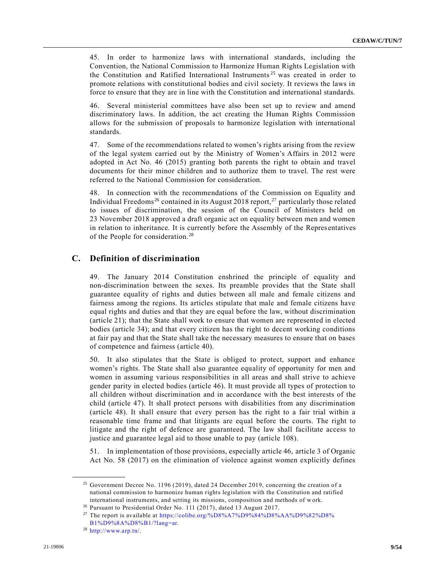45. In order to harmonize laws with international standards, including the Convention, the National Commission to Harmonize Human Rights Legislation with the Constitution and Ratified International Instruments<sup>25</sup> was created in order to promote relations with constitutional bodies and civil society. It reviews the laws in force to ensure that they are in line with the Constitution and international standards.

46. Several ministerial committees have also been set up to review and amend discriminatory laws. In addition, the act creating the Human Rights Commission allows for the submission of proposals to harmonize legislation with international standards.

47. Some of the recommendations related to women's rights arising from the review of the legal system carried out by the Ministry of Women's Affairs in 2012 were adopted in Act No. 46 (2015) granting both parents the right to obtain and travel documents for their minor children and to authorize them to travel. The rest were referred to the National Commission for consideration.

48. In connection with the recommendations of the Commission on Equality and Individual Freedoms<sup>26</sup> contained in its August 2018 report,<sup>27</sup> particularly those related to issues of discrimination, the session of the Council of Ministers held on 23 November 2018 approved a draft organic act on equality between men and women in relation to inheritance. It is currently before the Assembly of the Representatives of the People for consideration.<sup>28</sup>

#### **C. Definition of discrimination**

49. The January 2014 Constitution enshrined the principle of equality and non-discrimination between the sexes. Its preamble provides that the State shall guarantee equality of rights and duties between all male and female citizens and fairness among the regions. Its articles stipulate that male and female citizens have equal rights and duties and that they are equal before the law, without discrimination (article 21); that the State shall work to ensure that women are represented in elected bodies (article 34); and that every citizen has the right to decent working conditions at fair pay and that the State shall take the necessary measures to ensure that on bases of competence and fairness (article 40).

50. It also stipulates that the State is obliged to protect, support and enhance women's rights. The State shall also guarantee equality of opportunity for men and women in assuming various responsibilities in all areas and shall strive to achieve gender parity in elected bodies (article 46). It must provide all types of protection to all children without discrimination and in accordance with the best interests of the child (article 47). It shall protect persons with disabilities from any discrimination (article 48). It shall ensure that every person has the right to a fair trial within a reasonable time frame and that litigants are equal before the courts. The right to litigate and the right of defence are guaranteed. The law shall facilitate access to justice and guarantee legal aid to those unable to pay (article 108).

51. In implementation of those provisions, especially article 46, article 3 of Organic Act No. 58 (2017) on the elimination of violence against women explicitly defines

<sup>&</sup>lt;sup>25</sup> Government Decree No. 1196 (2019), dated 24 December 2019, concerning the creation of a national commission to harmonize human rights legislation with the Constitution and ratified international instruments, and setting its missions, composition and methods of work.

<sup>26</sup> Pursuant to Presidential Order No. 111 (2017), dated 13 August 2017.

<sup>27</sup> The report is available at [https://colibe.org/%D8%A7%D9%84%D8%AA%D9%82%D8%](https://colibe.org/%D8%A7%D9%84%D8%AA%D9%82%D8%B1%D9%8A%D8%B1/?lang=ar)  [B1%D9%8A%D8%B1/?lang=ar.](https://colibe.org/%D8%A7%D9%84%D8%AA%D9%82%D8%B1%D9%8A%D8%B1/?lang=ar)

<sup>28</sup> [http://www.arp.tn/.](http://www.arp.tn/)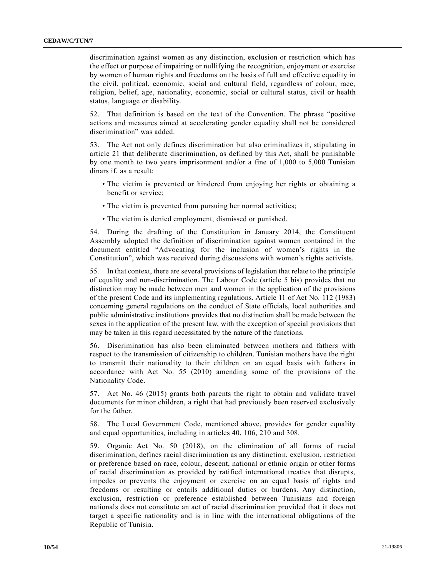discrimination against women as any distinction, exclusion or restriction which has the effect or purpose of impairing or nullifying the recognition, enjoyment or exercise by women of human rights and freedoms on the basis of full and effective equality in the civil, political, economic, social and cultural field, regardless of colour, race, religion, belief, age, nationality, economic, social or cultural status, civil or health status, language or disability.

52. That definition is based on the text of the Convention. The phrase "positive actions and measures aimed at accelerating gender equality shall not be considered discrimination" was added.

53. The Act not only defines discrimination but also criminalizes it, stipulating in article 21 that deliberate discrimination, as defined by this Act, shall be punishable by one month to two years imprisonment and/or a fine of 1,000 to 5,000 Tunisian dinars if, as a result:

- The victim is prevented or hindered from enjoying her rights or obtaining a benefit or service;
- The victim is prevented from pursuing her normal activities;
- The victim is denied employment, dismissed or punished.

54. During the drafting of the Constitution in January 2014, the Constituent Assembly adopted the definition of discrimination against women contained in the document entitled "Advocating for the inclusion of women's rights in the Constitution", which was received during discussions with women's rights activists.

55. In that context, there are several provisions of legislation that relate to the principle of equality and non-discrimination. The Labour Code (article 5 bis) provides that no distinction may be made between men and women in the application of the provisions of the present Code and its implementing regulations. Article 11 of Act No. 112 (1983) concerning general regulations on the conduct of State officials, local authorities and public administrative institutions provides that no distinction shall be made between the sexes in the application of the present law, with the exception of special provisions that may be taken in this regard necessitated by the nature of the functions.

56. Discrimination has also been eliminated between mothers and fathers with respect to the transmission of citizenship to children. Tunisian mothers have the right to transmit their nationality to their children on an equal basis with fathers in accordance with Act No. 55 (2010) amending some of the provisions of the Nationality Code.

57. Act No. 46 (2015) grants both parents the right to obtain and validate travel documents for minor children, a right that had previously been reserved exclusively for the father.

58. The Local Government Code, mentioned above, provides for gender equality and equal opportunities, including in articles 40, 106, 210 and 308.

59. Organic Act No. 50 (2018), on the elimination of all forms of racial discrimination, defines racial discrimination as any distinction, exclusion, restriction or preference based on race, colour, descent, national or ethnic origin or other forms of racial discrimination as provided by ratified international treaties that disrupts, impedes or prevents the enjoyment or exercise on an equal basis of rights and freedoms or resulting or entails additional duties or burdens. Any distinction, exclusion, restriction or preference established between Tunisians and foreign nationals does not constitute an act of racial discrimination provided that it does not target a specific nationality and is in line with the international obligations of the Republic of Tunisia.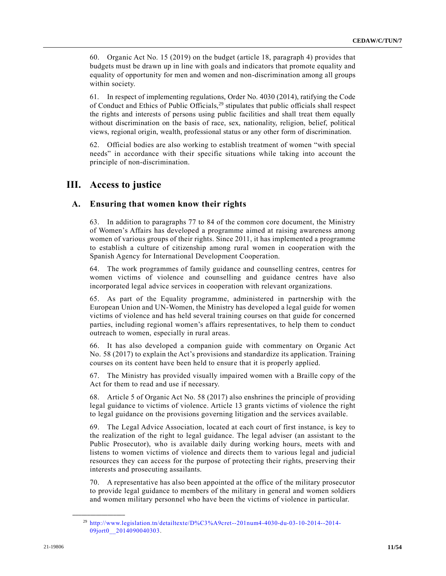60. Organic Act No. 15 (2019) on the budget (article 18, paragraph 4) provides that budgets must be drawn up in line with goals and indicators that promote equality and equality of opportunity for men and women and non-discrimination among all groups within society.

61. In respect of implementing regulations, Order No. 4030 (2014), ratifying the Code of Conduct and Ethics of Public Officials, $2<sup>9</sup>$  stipulates that public officials shall respect the rights and interests of persons using public facilities and shall treat them equally without discrimination on the basis of race, sex, nationality, religion, belief, political views, regional origin, wealth, professional status or any other form of discrimination.

62. Official bodies are also working to establish treatment of women "with special needs" in accordance with their specific situations while taking into account the principle of non-discrimination.

# **III. Access to justice**

# **A. Ensuring that women know their rights**

63. In addition to paragraphs 77 to 84 of the common core document, the Ministry of Women's Affairs has developed a programme aimed at raising awareness among women of various groups of their rights. Since 2011, it has implemented a programme to establish a culture of citizenship among rural women in cooperation with the Spanish Agency for International Development Cooperation.

64. The work programmes of family guidance and counselling centres, centres for women victims of violence and counselling and guidance centres have also incorporated legal advice services in cooperation with relevant organizations.

65. As part of the Equality programme, administered in partnership with the European Union and UN-Women, the Ministry has developed a legal guide for women victims of violence and has held several training courses on that guide for concerned parties, including regional women's affairs representatives, to help them to conduct outreach to women, especially in rural areas.

66. It has also developed a companion guide with commentary on Organic Act No. 58 (2017) to explain the Act's provisions and standardize its application. Training courses on its content have been held to ensure that it is properly applied.

67. The Ministry has provided visually impaired women with a Braille copy of the Act for them to read and use if necessary.

68. Article 5 of Organic Act No. 58 (2017) also enshrines the principle of providing legal guidance to victims of violence. Article 13 grants victims of violence the right to legal guidance on the provisions governing litigation and the services available.

69. The Legal Advice Association, located at each court of first instance, is key to the realization of the right to legal guidance. The legal adviser (an assistant to the Public Prosecutor), who is available daily during working hours, meets with and listens to women victims of violence and directs them to various legal and judicial resources they can access for the purpose of protecting their rights, preserving their interests and prosecuting assailants.

70. A representative has also been appointed at the office of the military prosecutor to provide legal guidance to members of the military in general and women soldiers and women military personnel who have been the victims of violence in particular.

<sup>29</sup> [http://www.legislation.tn/detailtexte/D%C3%A9cret--201num4-4030-du-03-10-2014--2014-](http://www.legislation.tn/detailtexte/D%C3%A9cret--201num4-4030-du-03-10-2014--2014-09jort0__2014090040303) 09jort0 2014090040303.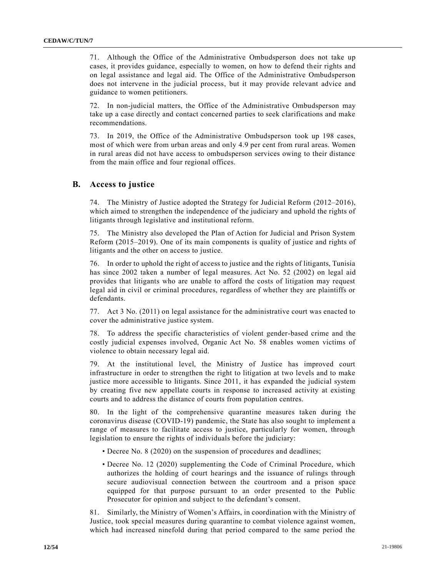71. Although the Office of the Administrative Ombudsperson does not take up cases, it provides guidance, especially to women, on how to defend their rights and on legal assistance and legal aid. The Office of the Administrative Ombudsperson does not intervene in the judicial process, but it may provide relevant advice and guidance to women petitioners.

72. In non-judicial matters, the Office of the Administrative Ombudsperson may take up a case directly and contact concerned parties to seek clarifications and make recommendations.

73. In 2019, the Office of the Administrative Ombudsperson took up 198 cases, most of which were from urban areas and only 4.9 per cent from rural areas. Women in rural areas did not have access to ombudsperson services owing to their distance from the main office and four regional offices.

#### **B. Access to justice**

74. The Ministry of Justice adopted the Strategy for Judicial Reform (2012–2016), which aimed to strengthen the independence of the judiciary and uphold the rights of litigants through legislative and institutional reform.

75. The Ministry also developed the Plan of Action for Judicial and Prison System Reform (2015–2019). One of its main components is quality of justice and rights of litigants and the other on access to justice.

76. In order to uphold the right of access to justice and the rights of litigants, Tunisia has since 2002 taken a number of legal measures. Act No. 52 (2002) on legal aid provides that litigants who are unable to afford the costs of litigation may request legal aid in civil or criminal procedures, regardless of whether they are plaintiffs or defendants.

77. Act 3 No. (2011) on legal assistance for the administrative court was enacted to cover the administrative justice system.

78. To address the specific characteristics of violent gender-based crime and the costly judicial expenses involved, Organic Act No. 58 enables women victims of violence to obtain necessary legal aid.

79. At the institutional level, the Ministry of Justice has improved court infrastructure in order to strengthen the right to litigation at two levels and to make justice more accessible to litigants. Since 2011, it has expanded the judicial system by creating five new appellate courts in response to increased activity at existing courts and to address the distance of courts from population centres.

80. In the light of the comprehensive quarantine measures taken during the coronavirus disease (COVID-19) pandemic, the State has also sought to implement a range of measures to facilitate access to justice, particularly for women, through legislation to ensure the rights of individuals before the judiciary:

- Decree No. 8 (2020) on the suspension of procedures and deadlines;
- Decree No. 12 (2020) supplementing the Code of Criminal Procedure, which authorizes the holding of court hearings and the issuance of rulings through secure audiovisual connection between the courtroom and a prison space equipped for that purpose pursuant to an order presented to the Public Prosecutor for opinion and subject to the defendant's consent.

81. Similarly, the Ministry of Women's Affairs, in coordination with the Ministry of Justice, took special measures during quarantine to combat violence against women, which had increased ninefold during that period compared to the same period the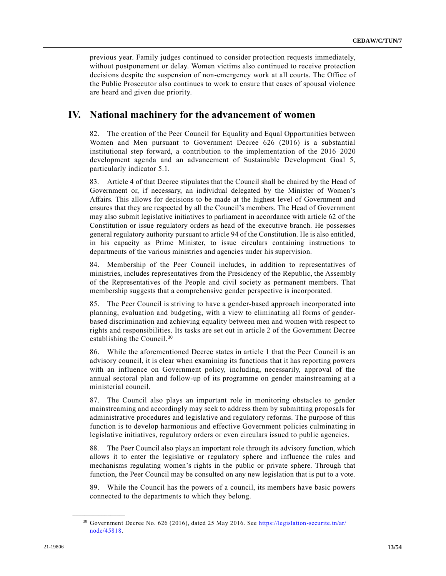previous year. Family judges continued to consider protection requests immediately, without postponement or delay. Women victims also continued to receive protection decisions despite the suspension of non-emergency work at all courts. The Office of the Public Prosecutor also continues to work to ensure that cases of spousal violence are heard and given due priority.

# **IV. National machinery for the advancement of women**

82. The creation of the Peer Council for Equality and Equal Opportunities between Women and Men pursuant to Government Decree 626 (2016) is a substantial institutional step forward, a contribution to the implementation of the 2016–2020 development agenda and an advancement of Sustainable Development Goal 5, particularly indicator 5.1.

83. Article 4 of that Decree stipulates that the Council shall be chaired by the Head of Government or, if necessary, an individual delegated by the Minister of Women's Affairs. This allows for decisions to be made at the highest level of Government and ensures that they are respected by all the Council's members. The Head of Government may also submit legislative initiatives to parliament in accordance with article 62 of the Constitution or issue regulatory orders as head of the executive branch. He possesses general regulatory authority pursuant to article 94 of the Constitution. He is also entitled, in his capacity as Prime Minister, to issue circulars containing instructions to departments of the various ministries and agencies under his supervision.

84. Membership of the Peer Council includes, in addition to representatives of ministries, includes representatives from the Presidency of the Republic, the Assembly of the Representatives of the People and civil society as permanent members. That membership suggests that a comprehensive gender perspective is incorporated.

85. The Peer Council is striving to have a gender-based approach incorporated into planning, evaluation and budgeting, with a view to eliminating all forms of genderbased discrimination and achieving equality between men and women with respect to rights and responsibilities. Its tasks are set out in article 2 of the Government Decree establishing the Council.<sup>30</sup>

86. While the aforementioned Decree states in article 1 that the Peer Council is an advisory council, it is clear when examining its functions that it has reporting powers with an influence on Government policy, including, necessarily, approval of the annual sectoral plan and follow-up of its programme on gender mainstreaming at a ministerial council.

87. The Council also plays an important role in monitoring obstacles to gender mainstreaming and accordingly may seek to address them by submitting proposals for administrative procedures and legislative and regulatory reforms. The purpose of this function is to develop harmonious and effective Government policies culminating in legislative initiatives, regulatory orders or even circulars issued to public agencies.

88. The Peer Council also plays an important role through its advisory function, which allows it to enter the legislative or regulatory sphere and influence the rules and mechanisms regulating women's rights in the public or private sphere. Through that function, the Peer Council may be consulted on any new legislation that is put to a vote.

89. While the Council has the powers of a council, its members have basic powers connected to the departments to which they belong.

<sup>30</sup> Government Decree No. 626 (2016), dated 25 May 2016. See [https://legislation-securite.tn/ar/](https://legislation-securite.tn/ar/node/45818)  [node/45818.](https://legislation-securite.tn/ar/node/45818)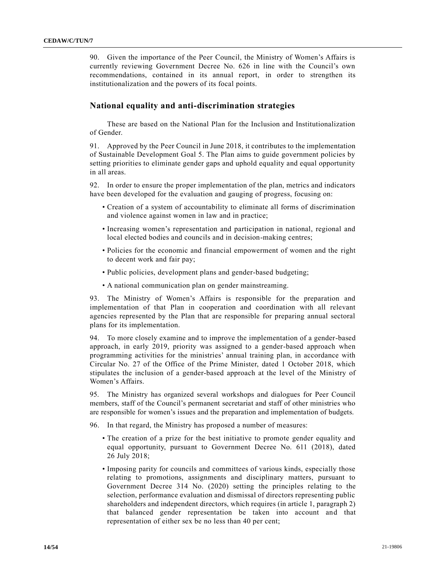90. Given the importance of the Peer Council, the Ministry of Women's Affairs is currently reviewing Government Decree No. 626 in line with the Council's own recommendations, contained in its annual report, in order to strengthen its institutionalization and the powers of its focal points.

#### **National equality and anti-discrimination strategies**

These are based on the National Plan for the Inclusion and Institutionalization of Gender.

91. Approved by the Peer Council in June 2018, it contributes to the implementation of Sustainable Development Goal 5. The Plan aims to guide government policies by setting priorities to eliminate gender gaps and uphold equality and equal opportunity in all areas.

92. In order to ensure the proper implementation of the plan, metrics and indicators have been developed for the evaluation and gauging of progress, focusing on:

- Creation of a system of accountability to eliminate all forms of discrimination and violence against women in law and in practice;
- Increasing women's representation and participation in national, regional and local elected bodies and councils and in decision-making centres;
- Policies for the economic and financial empowerment of women and the right to decent work and fair pay;
- Public policies, development plans and gender-based budgeting;
- A national communication plan on gender mainstreaming.

93. The Ministry of Women's Affairs is responsible for the preparation and implementation of that Plan in cooperation and coordination with all relevant agencies represented by the Plan that are responsible for preparing annual sectoral plans for its implementation.

94. To more closely examine and to improve the implementation of a gender-based approach, in early 2019, priority was assigned to a gender-based approach when programming activities for the ministries' annual training plan, in accordance with Circular No. 27 of the Office of the Prime Minister, dated 1 October 2018, which stipulates the inclusion of a gender-based approach at the level of the Ministry of Women's Affairs.

95. The Ministry has organized several workshops and dialogues for Peer Council members, staff of the Council's permanent secretariat and staff of other ministries who are responsible for women's issues and the preparation and implementation of budgets.

96. In that regard, the Ministry has proposed a number of measures:

- The creation of a prize for the best initiative to promote gender equality and equal opportunity, pursuant to Government Decree No. 611 (2018), dated 26 July 2018;
- Imposing parity for councils and committees of various kinds, especially those relating to promotions, assignments and disciplinary matters, pursuant to Government Decree 314 No. (2020) setting the principles relating to the selection, performance evaluation and dismissal of directors representing public shareholders and independent directors, which requires (in article 1, paragraph 2) that balanced gender representation be taken into account and that representation of either sex be no less than 40 per cent;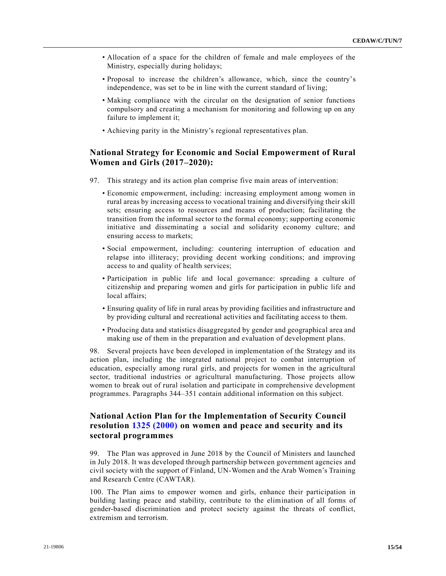- Allocation of a space for the children of female and male employees of the Ministry, especially during holidays;
- Proposal to increase the children's allowance, which, since the country's independence, was set to be in line with the current standard of living;
- Making compliance with the circular on the designation of senior functions compulsory and creating a mechanism for monitoring and following up on any failure to implement it;
- Achieving parity in the Ministry's regional representatives plan.

# **National Strategy for Economic and Social Empowerment of Rural Women and Girls (2017–2020):**

- 97. This strategy and its action plan comprise five main areas of intervention:
	- Economic empowerment, including: increasing employment among women in rural areas by increasing access to vocational training and diversifying their skill sets; ensuring access to resources and means of production; facilitating the transition from the informal sector to the formal economy; supporting economic initiative and disseminating a social and solidarity economy culture; and ensuring access to markets;
	- Social empowerment, including: countering interruption of education and relapse into illiteracy; providing decent working conditions; and improving access to and quality of health services;
	- Participation in public life and local governance: spreading a culture of citizenship and preparing women and girls for participation in public life and local affairs;
	- Ensuring quality of life in rural areas by providing facilities and infrastructure and by providing cultural and recreational activities and facilitating access to them.
	- Producing data and statistics disaggregated by gender and geographical area and making use of them in the preparation and evaluation of development plans.

98. Several projects have been developed in implementation of the Strategy and its action plan, including the integrated national project to combat interruption of education, especially among rural girls, and projects for women in the agricultural sector, traditional industries or agricultural manufacturing. Those projects allow women to break out of rural isolation and participate in comprehensive development programmes. Paragraphs 344–351 contain additional information on this subject.

# **National Action Plan for the Implementation of Security Council resolution [1325 \(2000\)](https://undocs.org/en/S/RES/1325(2000)) on women and peace and security and its sectoral programmes**

99. The Plan was approved in June 2018 by the Council of Ministers and launched in July 2018. It was developed through partnership between government agencies and civil society with the support of Finland, UN-Women and the Arab Women's Training and Research Centre (CAWTAR).

100. The Plan aims to empower women and girls, enhance their participation in building lasting peace and stability, contribute to the elimination of all forms of gender-based discrimination and protect society against the threats of conflict, extremism and terrorism.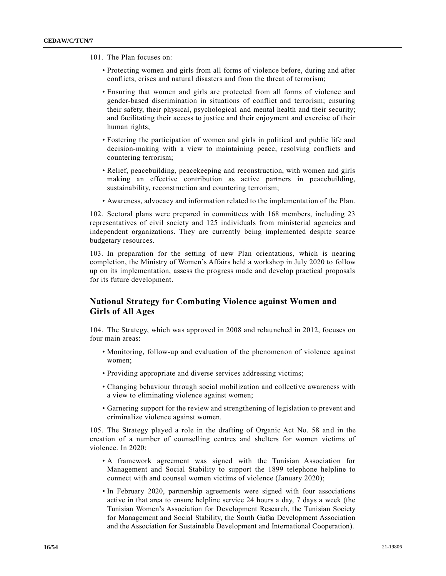- 101. The Plan focuses on:
	- Protecting women and girls from all forms of violence before, during and after conflicts, crises and natural disasters and from the threat of terrorism;
	- Ensuring that women and girls are protected from all forms of violence and gender-based discrimination in situations of conflict and terrorism; ensuring their safety, their physical, psychological and mental health and their security; and facilitating their access to justice and their enjoyment and exercise of their human rights;
	- Fostering the participation of women and girls in political and public life and decision-making with a view to maintaining peace, resolving conflicts and countering terrorism;
	- Relief, peacebuilding, peacekeeping and reconstruction, with women and girls making an effective contribution as active partners in peacebuilding, sustainability, reconstruction and countering terrorism;
	- Awareness, advocacy and information related to the implementation of the Plan.

102. Sectoral plans were prepared in committees with 168 members, including 23 representatives of civil society and 125 individuals from ministerial agencies and independent organizations. They are currently being implemented despite scarce budgetary resources.

103. In preparation for the setting of new Plan orientations, which is nearing completion, the Ministry of Women's Affairs held a workshop in July 2020 to follow up on its implementation, assess the progress made and develop practical proposals for its future development.

# **National Strategy for Combating Violence against Women and Girls of All Ages**

104. The Strategy, which was approved in 2008 and relaunched in 2012, focuses on four main areas:

- Monitoring, follow-up and evaluation of the phenomenon of violence against women;
- Providing appropriate and diverse services addressing victims;
- Changing behaviour through social mobilization and collective awareness with a view to eliminating violence against women;
- Garnering support for the review and strengthening of legislation to prevent and criminalize violence against women.

105. The Strategy played a role in the drafting of Organic Act No. 58 and in the creation of a number of counselling centres and shelters for women victims of violence. In 2020:

- A framework agreement was signed with the Tunisian Association for Management and Social Stability to support the 1899 telephone helpline to connect with and counsel women victims of violence (January 2020);
- In February 2020, partnership agreements were signed with four associations active in that area to ensure helpline service 24 hours a day, 7 days a week (the Tunisian Women's Association for Development Research, the Tunisian Society for Management and Social Stability, the South Gafsa Development Association and the Association for Sustainable Development and International Cooperation).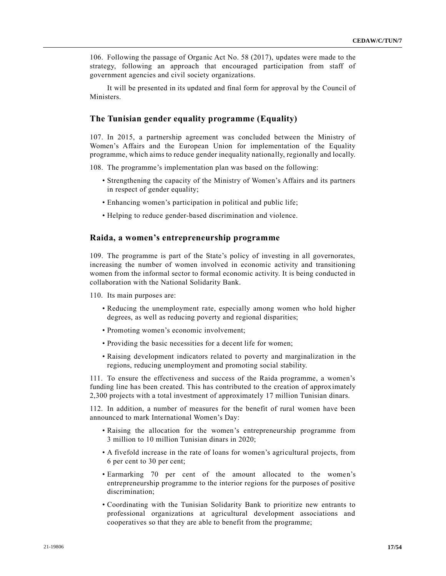106. Following the passage of Organic Act No. 58 (2017), updates were made to the strategy, following an approach that encouraged participation from staff of government agencies and civil society organizations.

It will be presented in its updated and final form for approval by the Council of Ministers.

#### **The Tunisian gender equality programme (Equality)**

107. In 2015, a partnership agreement was concluded between the Ministry of Women's Affairs and the European Union for implementation of the Equality programme, which aims to reduce gender inequality nationally, regionally and locally.

- 108. The programme's implementation plan was based on the following:
	- Strengthening the capacity of the Ministry of Women's Affairs and its partners in respect of gender equality;
	- Enhancing women's participation in political and public life;
	- Helping to reduce gender-based discrimination and violence.

#### **Raida, a women's entrepreneurship programme**

109. The programme is part of the State's policy of investing in all governorates, increasing the number of women involved in economic activity and transitioning women from the informal sector to formal economic activity. It is being conducted in collaboration with the National Solidarity Bank.

110. Its main purposes are:

- Reducing the unemployment rate, especially among women who hold higher degrees, as well as reducing poverty and regional disparities;
- Promoting women's economic involvement;
- Providing the basic necessities for a decent life for women;
- Raising development indicators related to poverty and marginalization in the regions, reducing unemployment and promoting social stability.

111. To ensure the effectiveness and success of the Raida programme, a women's funding line has been created. This has contributed to the creation of approximately 2,300 projects with a total investment of approximately 17 million Tunisian dinars.

112. In addition, a number of measures for the benefit of rural women have been announced to mark International Women's Day:

- Raising the allocation for the women's entrepreneurship programme from 3 million to 10 million Tunisian dinars in 2020;
- A fivefold increase in the rate of loans for women's agricultural projects, from 6 per cent to 30 per cent;
- Earmarking 70 per cent of the amount allocated to the women's entrepreneurship programme to the interior regions for the purposes of positive discrimination;
- Coordinating with the Tunisian Solidarity Bank to prioritize new entrants to professional organizations at agricultural development associations and cooperatives so that they are able to benefit from the programme;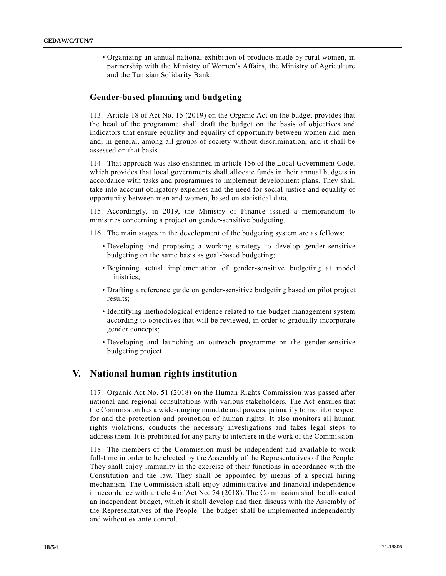• Organizing an annual national exhibition of products made by rural women, in partnership with the Ministry of Women's Affairs, the Ministry of Agriculture and the Tunisian Solidarity Bank.

#### **Gender-based planning and budgeting**

113. Article 18 of Act No. 15 (2019) on the Organic Act on the budget provides that the head of the programme shall draft the budget on the basis of objectives and indicators that ensure equality and equality of opportunity between women and men and, in general, among all groups of society without discrimination, and it shall be assessed on that basis.

114. That approach was also enshrined in article 156 of the Local Government Code, which provides that local governments shall allocate funds in their annual budgets in accordance with tasks and programmes to implement development plans. They shall take into account obligatory expenses and the need for social justice and equality of opportunity between men and women, based on statistical data.

115. Accordingly, in 2019, the Ministry of Finance issued a memorandum to ministries concerning a project on gender-sensitive budgeting.

116. The main stages in the development of the budgeting system are as follows:

- Developing and proposing a working strategy to develop gender-sensitive budgeting on the same basis as goal-based budgeting;
- Beginning actual implementation of gender-sensitive budgeting at model ministries;
- Drafting a reference guide on gender-sensitive budgeting based on pilot project results;
- Identifying methodological evidence related to the budget management system according to objectives that will be reviewed, in order to gradually incorporate gender concepts;
- Developing and launching an outreach programme on the gender-sensitive budgeting project.

# **V. National human rights institution**

117. Organic Act No. 51 (2018) on the Human Rights Commission was passed after national and regional consultations with various stakeholders. The Act ensures that the Commission has a wide-ranging mandate and powers, primarily to monitor respect for and the protection and promotion of human rights. It also monitors all human rights violations, conducts the necessary investigations and takes legal steps to address them. It is prohibited for any party to interfere in the work of the Commission.

118. The members of the Commission must be independent and available to work full-time in order to be elected by the Assembly of the Representatives of the People. They shall enjoy immunity in the exercise of their functions in accordance with the Constitution and the law. They shall be appointed by means of a special hiring mechanism. The Commission shall enjoy administrative and financial independence in accordance with article 4 of Act No. 74 (2018). The Commission shall be allocated an independent budget, which it shall develop and then discuss with the Assembly of the Representatives of the People. The budget shall be implemented independently and without ex ante control.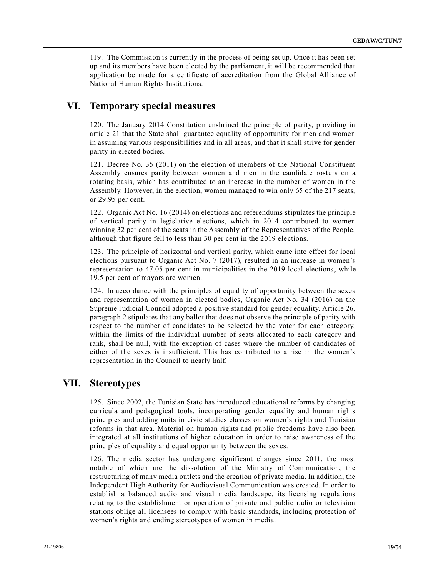119. The Commission is currently in the process of being set up. Once it has been set up and its members have been elected by the parliament, it will be recommended that application be made for a certificate of accreditation from the Global Alliance of National Human Rights Institutions.

# **VI. Temporary special measures**

120. The January 2014 Constitution enshrined the principle of parity, providing in article 21 that the State shall guarantee equality of opportunity for men and women in assuming various responsibilities and in all areas, and that it shall strive for gender parity in elected bodies.

121. Decree No. 35 (2011) on the election of members of the National Constituent Assembly ensures parity between women and men in the candidate rosters on a rotating basis, which has contributed to an increase in the number of women in the Assembly. However, in the election, women managed to win only 65 of the 217 seats, or 29.95 per cent.

122. Organic Act No. 16 (2014) on elections and referendums stipulates the principle of vertical parity in legislative elections, which in 2014 contributed to women winning 32 per cent of the seats in the Assembly of the Representatives of the People, although that figure fell to less than 30 per cent in the 2019 elections.

123. The principle of horizontal and vertical parity, which came into effect for local elections pursuant to Organic Act No. 7 (2017), resulted in an increase in women's representation to 47.05 per cent in municipalities in the 2019 local elections, while 19.5 per cent of mayors are women.

124. In accordance with the principles of equality of opportunity between the sexes and representation of women in elected bodies, Organic Act No. 34 (2016) on the Supreme Judicial Council adopted a positive standard for gender equality. Article 26, paragraph 2 stipulates that any ballot that does not observe the principle of parity with respect to the number of candidates to be selected by the voter for each category, within the limits of the individual number of seats allocated to each category and rank, shall be null, with the exception of cases where the number of candidates of either of the sexes is insufficient. This has contributed to a rise in the women's representation in the Council to nearly half.

# **VII. Stereotypes**

125. Since 2002, the Tunisian State has introduced educational reforms by changing curricula and pedagogical tools, incorporating gender equality and human rights principles and adding units in civic studies classes on women's rights and Tunisian reforms in that area. Material on human rights and public freedoms have also been integrated at all institutions of higher education in order to raise awareness of the principles of equality and equal opportunity between the sexes.

126. The media sector has undergone significant changes since 2011, the most notable of which are the dissolution of the Ministry of Communication, the restructuring of many media outlets and the creation of private media. In addition, the Independent High Authority for Audiovisual Communication was created. In order to establish a balanced audio and visual media landscape, its licensing regulations relating to the establishment or operation of private and public radio or television stations oblige all licensees to comply with basic standards, including protection of women's rights and ending stereotypes of women in media.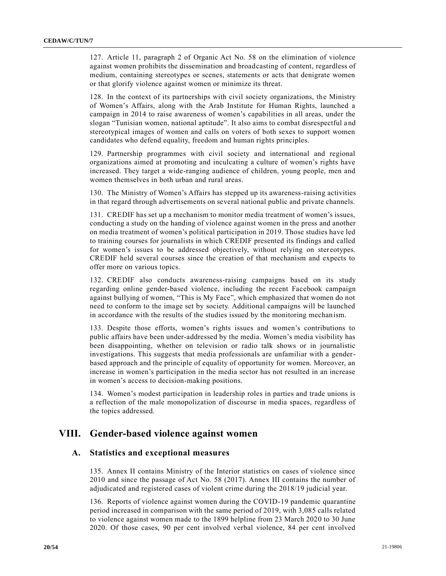127. Article 11, paragraph 2 of Organic Act No. 58 on the elimination of violence against women prohibits the dissemination and broadcasting of content, regardless of medium, containing stereotypes or scenes, statements or acts that denigrate women or that glorify violence against women or minimize its threat.

128. In the context of its partnerships with civil society organizations, the Ministry of Women's Affairs, along with the Arab Institute for Human Rights, launched a campaign in 2014 to raise awareness of women's capabilities in all areas, under the slogan "Tunisian women, national aptitude". It also aims to combat disrespectful and stereotypical images of women and calls on voters of both sexes to support women candidates who defend equality, freedom and human rights principles.

129. Partnership programmes with civil society and international and regional organizations aimed at promoting and inculcating a culture of women's rights have increased. They target a wide-ranging audience of children, young people, men and women themselves in both urban and rural areas.

130. The Ministry of Women's Affairs has stepped up its awareness-raising activities in that regard through advertisements on several national public and private channels.

131. CREDIF has set up a mechanism to monitor media treatment of women's issues, conducting a study on the handing of violence against women in the press and another on media treatment of women's political participation in 2019. Those studies have led to training courses for journalists in which CREDIF presented its findings and called for women's issues to be addressed objectively, without relying on stereotypes. CREDIF held several courses since the creation of that mechanism and expects to offer more on various topics.

132. CREDIF also conducts awareness-raising campaigns based on its study regarding online gender-based violence, including the recent Facebook campaign against bullying of women, "This is My Face", which emphasized that women do not need to conform to the image set by society. Additional campaigns will be launched in accordance with the results of the studies issued by the monitoring mechanism.

133. Despite those efforts, women's rights issues and women's contributions to public affairs have been under-addressed by the media. Women's media visibility has been disappointing, whether on television or radio talk shows or in journalistic investigations. This suggests that media professionals are unfamiliar with a genderbased approach and the principle of equality of opportunity for women. Moreover, an increase in women's participation in the media sector has not resulted in an increase in women's access to decision-making positions.

134. Women's modest participation in leadership roles in parties and trade unions is a reflection of the male monopolization of discourse in media spaces, regardless of the topics addressed.

# **VIII. Gender-based violence against women**

#### **A. Statistics and exceptional measures**

135. Annex II contains Ministry of the Interior statistics on cases of violence since 2010 and since the passage of Act No. 58 (2017). Annex III contains the number of adjudicated and registered cases of violent crime during the 2018/19 judicial year.

136. Reports of violence against women during the COVID-19 pandemic quarantine period increased in comparison with the same period of 2019, with 3,085 calls related to violence against women made to the 1899 helpline from 23 March 2020 to 30 June 2020. Of those cases, 90 per cent involved verbal violence, 84 per cent involved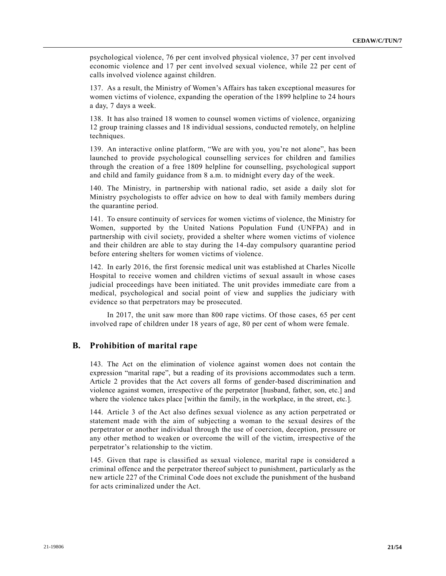psychological violence, 76 per cent involved physical violence, 37 per cent involved economic violence and 17 per cent involved sexual violence, while 22 per cent of calls involved violence against children.

137. As a result, the Ministry of Women's Affairs has taken exceptional measures for women victims of violence, expanding the operation of the 1899 helpline to 24 hours a day, 7 days a week.

138. It has also trained 18 women to counsel women victims of violence, organizing 12 group training classes and 18 individual sessions, conducted remotely, on helpline techniques.

139. An interactive online platform, "We are with you, you're not alone", has been launched to provide psychological counselling services for children and families through the creation of a free 1809 helpline for counselling, psychological support and child and family guidance from 8 a.m. to midnight every day of the week.

140. The Ministry, in partnership with national radio, set aside a daily slot for Ministry psychologists to offer advice on how to deal with family members during the quarantine period.

141. To ensure continuity of services for women victims of violence, the Ministry for Women, supported by the United Nations Population Fund (UNFPA) and in partnership with civil society, provided a shelter where women victims of violence and their children are able to stay during the 14-day compulsory quarantine period before entering shelters for women victims of violence.

142. In early 2016, the first forensic medical unit was established at Charles Nicolle Hospital to receive women and children victims of sexual assault in whose cases judicial proceedings have been initiated. The unit provides immediate care from a medical, psychological and social point of view and supplies the judiciary with evidence so that perpetrators may be prosecuted.

In 2017, the unit saw more than 800 rape victims. Of those cases, 65 per cent involved rape of children under 18 years of age, 80 per cent of whom were female.

### **B. Prohibition of marital rape**

143. The Act on the elimination of violence against women does not contain the expression "marital rape", but a reading of its provisions accommodates such a term. Article 2 provides that the Act covers all forms of gender-based discrimination and violence against women, irrespective of the perpetrator [husband, father, son, etc.] and where the violence takes place [within the family, in the workplace, in the street, etc.].

144. Article 3 of the Act also defines sexual violence as any action perpetrated or statement made with the aim of subjecting a woman to the sexual desires of the perpetrator or another individual through the use of coercion, deception, pressure or any other method to weaken or overcome the will of the victim, irrespective of the perpetrator's relationship to the victim.

145. Given that rape is classified as sexual violence, marital rape is considered a criminal offence and the perpetrator thereof subject to punishment, particularly as the new article 227 of the Criminal Code does not exclude the punishment of the husband for acts criminalized under the Act.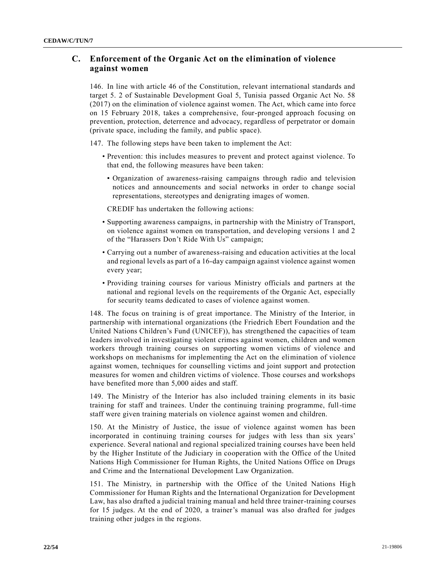# **C. Enforcement of the Organic Act on the elimination of violence against women**

146. In line with article 46 of the Constitution, relevant international standards and target 5. 2 of Sustainable Development Goal 5, Tunisia passed Organic Act No. 58 (2017) on the elimination of violence against women. The Act, which came into force on 15 February 2018, takes a comprehensive, four-pronged approach focusing on prevention, protection, deterrence and advocacy, regardless of perpetrator or domain (private space, including the family, and public space).

147. The following steps have been taken to implement the Act:

- Prevention: this includes measures to prevent and protect against violence. To that end, the following measures have been taken:
- Organization of awareness-raising campaigns through radio and television notices and announcements and social networks in order to change social representations, stereotypes and denigrating images of women.

CREDIF has undertaken the following actions:

- Supporting awareness campaigns, in partnership with the Ministry of Transport, on violence against women on transportation, and developing versions 1 and 2 of the "Harassers Don't Ride With Us" campaign;
- Carrying out a number of awareness-raising and education activities at the local and regional levels as part of a 16-day campaign against violence against women every year;
- Providing training courses for various Ministry officials and partners at the national and regional levels on the requirements of the Organic Act, especially for security teams dedicated to cases of violence against women.

148. The focus on training is of great importance. The Ministry of the Interior, in partnership with international organizations (the Friedrich Ebert Foundation and the United Nations Children's Fund (UNICEF)), has strengthened the capacities of team leaders involved in investigating violent crimes against women, children and women workers through training courses on supporting women victims of violence and workshops on mechanisms for implementing the Act on the elimination of violence against women, techniques for counselling victims and joint support and protection measures for women and children victims of violence. Those courses and workshops have benefited more than 5,000 aides and staff.

149. The Ministry of the Interior has also included training elements in its basic training for staff and trainees. Under the continuing training programme, full-time staff were given training materials on violence against women and children.

150. At the Ministry of Justice, the issue of violence against women has been incorporated in continuing training courses for judges with less than six years' experience. Several national and regional specialized training courses have been held by the Higher Institute of the Judiciary in cooperation with the Office of the United Nations High Commissioner for Human Rights, the United Nations Office on Drugs and Crime and the International Development Law Organization.

151. The Ministry, in partnership with the Office of the United Nations High Commissioner for Human Rights and the International Organization for Development Law, has also drafted a judicial training manual and held three trainer-training courses for 15 judges. At the end of 2020, a trainer's manual was also drafted for judges training other judges in the regions.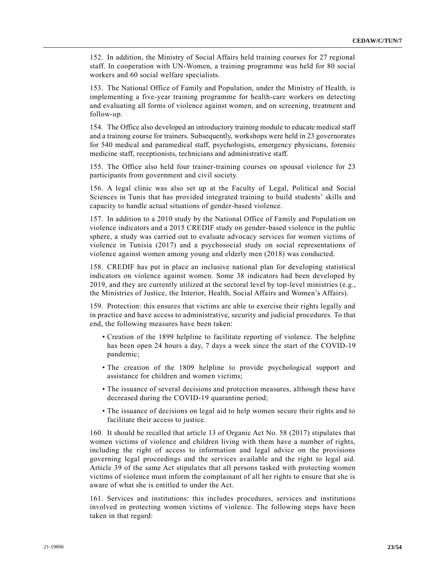152. In addition, the Ministry of Social Affairs held training courses for 27 regional staff. In cooperation with UN-Women, a training programme was held for 80 social workers and 60 social welfare specialists.

153. The National Office of Family and Population, under the Ministry of Health, is implementing a five-year training programme for health-care workers on detecting and evaluating all forms of violence against women, and on screening, treatment and follow-up.

154. The Office also developed an introductory training module to educate medical staff and a training course for trainers. Subsequently, workshops were held in 23 governorates for 540 medical and paramedical staff, psychologists, emergency physicians, forensic medicine staff, receptionists, technicians and administrative staff.

155. The Office also held four trainer-training courses on spousal violence for 23 participants from government and civil society.

156. A legal clinic was also set up at the Faculty of Legal, Political and Social Sciences in Tunis that has provided integrated training to build students' skills and capacity to handle actual situations of gender-based violence.

157. In addition to a 2010 study by the National Office of Family and Population on violence indicators and a 2015 CREDIF study on gender-based violence in the public sphere, a study was carried out to evaluate advocacy services for women victims of violence in Tunisia (2017) and a psychosocial study on social representations of violence against women among young and elderly men (2018) was conducted.

158. CREDIF has put in place an inclusive national plan for developing statistical indicators on violence against women. Some 38 indicators had been developed by 2019, and they are currently utilized at the sectoral level by top-level ministries (e.g., the Ministries of Justice, the Interior, Health, Social Affairs and Women's Affairs).

159. Protection: this ensures that victims are able to exercise their rights legally and in practice and have access to administrative, security and judicial procedures. To that end, the following measures have been taken:

- Creation of the 1899 helpline to facilitate reporting of violence. The helpline has been open 24 hours a day, 7 days a week since the start of the COVID-19 pandemic;
- The creation of the 1809 helpline to provide psychological support and assistance for children and women victims;
- The issuance of several decisions and protection measures, although these have decreased during the COVID-19 quarantine period;
- The issuance of decisions on legal aid to help women secure their rights and to facilitate their access to justice.

160. It should be recalled that article 13 of Organic Act No. 58 (2017) stipulates that women victims of violence and children living with them have a number of rights, including the right of access to information and legal advice on the provisions governing legal proceedings and the services available and the right to legal aid. Article 39 of the same Act stipulates that all persons tasked with protecting women victims of violence must inform the complainant of all her rights to ensure that she is aware of what she is entitled to under the Act.

161. Services and institutions: this includes procedures, services and institutions involved in protecting women victims of violence. The following steps have been taken in that regard: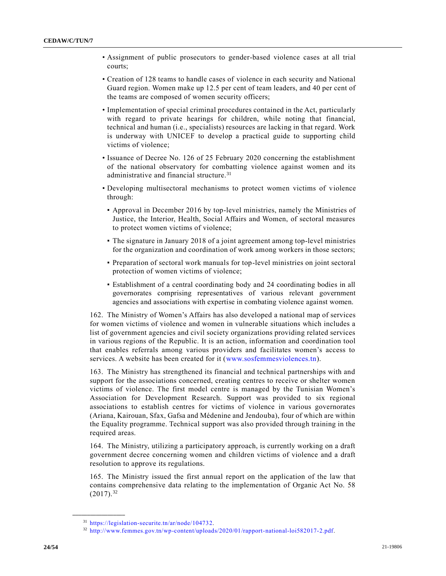- Assignment of public prosecutors to gender-based violence cases at all trial courts;
- Creation of 128 teams to handle cases of violence in each security and National Guard region. Women make up 12.5 per cent of team leaders, and 40 per cent of the teams are composed of women security officers;
- Implementation of special criminal procedures contained in the Act, particularly with regard to private hearings for children, while noting that financial, technical and human (i.e., specialists) resources are lacking in that regard. Work is underway with UNICEF to develop a practical guide to supporting child victims of violence;
- Issuance of Decree No. 126 of 25 February 2020 concerning the establishment of the national observatory for combatting violence against women and its administrative and financial structure.<sup>31</sup>
- Developing multisectoral mechanisms to protect women victims of violence through:
	- Approval in December 2016 by top-level ministries, namely the Ministries of Justice, the Interior, Health, Social Affairs and Women, of sectoral measures to protect women victims of violence;
	- The signature in January 2018 of a joint agreement among top-level ministries for the organization and coordination of work among workers in those sectors;
	- Preparation of sectoral work manuals for top-level ministries on joint sectoral protection of women victims of violence;
	- Establishment of a central coordinating body and 24 coordinating bodies in all governorates comprising representatives of various relevant government agencies and associations with expertise in combating violence against women.

162. The Ministry of Women's Affairs has also developed a national map of services for women victims of violence and women in vulnerable situations which includes a list of government agencies and civil society organizations providing related services in various regions of the Republic. It is an action, information and coordination tool that enables referrals among various providers and facilitates women's access to services. A website has been created for it [\(www.sosfemmesviolences.tn\)](http://www.sosfemmesviolences.tn/).

163. The Ministry has strengthened its financial and technical partnerships with and support for the associations concerned, creating centres to receive or shelter women victims of violence. The first model centre is managed by the Tunisian Women's Association for Development Research. Support was provided to six regional associations to establish centres for victims of violence in various governorates (Ariana, Kairouan, Sfax, Gafsa and Médenine and Jendouba), four of which are within the Equality programme. Technical support was also provided through training in the required areas.

164. The Ministry, utilizing a participatory approach, is currently working on a draft government decree concerning women and children victims of violence and a draft resolution to approve its regulations.

165. The Ministry issued the first annual report on the application of the law that contains comprehensive data relating to the implementation of Organic Act No. 58  $(2017).^{32}$ 

<sup>31</sup> [https://legislation-securite.tn/ar/node/104732.](https://legislation-securite.tn/ar/node/104732)

<sup>32</sup> [http://www.femmes.gov.tn/wp-content/uploads/2020/01/rapport-national-loi582017-2.pdf.](http://www.femmes.gov.tn/wp-content/uploads/2020/01/rapport-national-loi582017-2.pdf)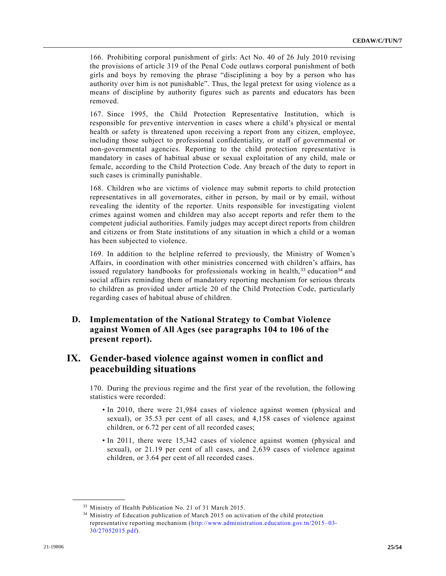166. Prohibiting corporal punishment of girls: Act No. 40 of 26 July 2010 revising the provisions of article 319 of the Penal Code outlaws corporal punishment of both girls and boys by removing the phrase "disciplining a boy by a person who has authority over him is not punishable". Thus, the legal pretext for using violence as a means of discipline by authority figures such as parents and educators has been removed.

167. Since 1995, the Child Protection Representative Institution, which is responsible for preventive intervention in cases where a child's physical or mental health or safety is threatened upon receiving a report from any citizen, employee, including those subject to professional confidentiality, or staff of governmental or non-governmental agencies. Reporting to the child protection representative is mandatory in cases of habitual abuse or sexual exploitation of any child, male or female, according to the Child Protection Code. Any breach of the duty to report in such cases is criminally punishable.

168. Children who are victims of violence may submit reports to child protection representatives in all governorates, either in person, by mail or by email, without revealing the identity of the reporter. Units responsible for investigating violent crimes against women and children may also accept reports and refer them to the competent judicial authorities. Family judges may accept direct reports from children and citizens or from State institutions of any situation in which a child or a woman has been subjected to violence.

169. In addition to the helpline referred to previously, the Ministry of Women's Affairs, in coordination with other ministries concerned with children's affairs, has issued regulatory handbooks for professionals working in health, $33$  education $34$  and social affairs reminding them of mandatory reporting mechanism for serious threats to children as provided under article 20 of the Child Protection Code, particularly regarding cases of habitual abuse of children.

# **D. Implementation of the National Strategy to Combat Violence against Women of All Ages (see paragraphs 104 to 106 of the present report).**

# **IX. Gender-based violence against women in conflict and peacebuilding situations**

170. During the previous regime and the first year of the revolution, the following statistics were recorded:

- In 2010, there were 21,984 cases of violence against women (physical and sexual), or 35.53 per cent of all cases, and 4,158 cases of violence against children, or 6.72 per cent of all recorded cases;
- In 2011, there were 15,342 cases of violence against women (physical and sexual), or 21.19 per cent of all cases, and 2,639 cases of violence against children, or 3.64 per cent of all recorded cases.

<sup>33</sup> Ministry of Health Publication No. 21 of 31 March 2015.

<sup>&</sup>lt;sup>34</sup> Ministry of Education publication of March 2015 on activation of the child protection representative reporting mechanism [\(http://www.administration.education.gov.tn/2015](http://www.administration.education.gov.tn/2015–03-30/27052015.pdf) –03- [30/27052015.pdf\)](http://www.administration.education.gov.tn/2015–03-30/27052015.pdf).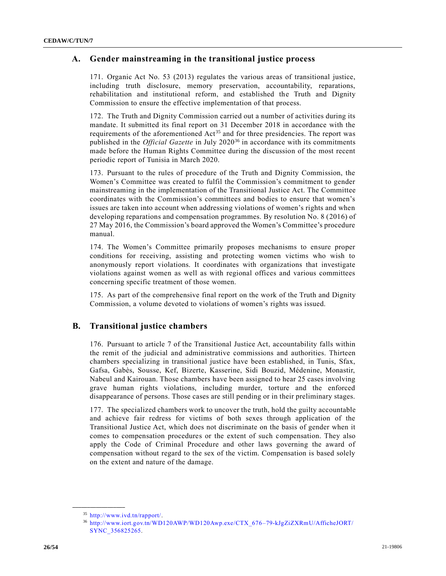# **A. Gender mainstreaming in the transitional justice process**

171. Organic Act No. 53 (2013) regulates the various areas of transitional justice, including truth disclosure, memory preservation, accountability, reparations, rehabilitation and institutional reform, and established the Truth and Dignity Commission to ensure the effective implementation of that process.

172. The Truth and Dignity Commission carried out a number of activities during its mandate. It submitted its final report on 31 December 2018 in accordance with the requirements of the aforementioned  $Act^{35}$  and for three presidencies. The report was published in the *Official Gazette* in July 2020<sup>36</sup> in accordance with its commitments made before the Human Rights Committee during the discussion of the most recent periodic report of Tunisia in March 2020.

173. Pursuant to the rules of procedure of the Truth and Dignity Commission, the Women's Committee was created to fulfil the Commission's commitment to gender mainstreaming in the implementation of the Transitional Justice Act. The Committee coordinates with the Commission's committees and bodies to ensure that women's issues are taken into account when addressing violations of women's rights and when developing reparations and compensation programmes. By resolution No. 8 (2016) of 27 May 2016, the Commission's board approved the Women's Committee's procedure manual.

174. The Women's Committee primarily proposes mechanisms to ensure proper conditions for receiving, assisting and protecting women victims who wish to anonymously report violations. It coordinates with organizations that investigate violations against women as well as with regional offices and various committees concerning specific treatment of those women.

175. As part of the comprehensive final report on the work of the Truth and Dignity Commission, a volume devoted to violations of women's rights was issued.

### **B. Transitional justice chambers**

176. Pursuant to article 7 of the Transitional Justice Act, accountability falls within the remit of the judicial and administrative commissions and authorities. Thirteen chambers specializing in transitional justice have been established, in Tunis, Sfax, Gafsa, Gabès, Sousse, Kef, Bizerte, Kasserine, Sidi Bouzid, Médenine, Monastir, Nabeul and Kairouan. Those chambers have been assigned to hear 25 cases involving grave human rights violations, including murder, torture and the enforced disappearance of persons. Those cases are still pending or in their preliminary stages.

177. The specialized chambers work to uncover the truth, hold the guilty accountable and achieve fair redress for victims of both sexes through application of the Transitional Justice Act, which does not discriminate on the basis of gender when it comes to compensation procedures or the extent of such compensation. They also apply the Code of Criminal Procedure and other laws governing the award of compensation without regard to the sex of the victim. Compensation is based solely on the extent and nature of the damage.

<sup>35</sup> [http://www.ivd.tn/rapport/.](http://www.ivd.tn/rapport/)

<sup>36</sup> [http://www.iort.gov.tn/WD120AWP/WD120Awp.exe/CTX\\_676–79-kJgZiZXRmU/AfficheJORT/](http://www.iort.gov.tn/WD120AWP/WD120Awp.exe/CTX_676–79-kJgZiZXRmU/AfficheJORT/SYNC_356825265)  [SYNC\\_356825265.](http://www.iort.gov.tn/WD120AWP/WD120Awp.exe/CTX_676–79-kJgZiZXRmU/AfficheJORT/SYNC_356825265)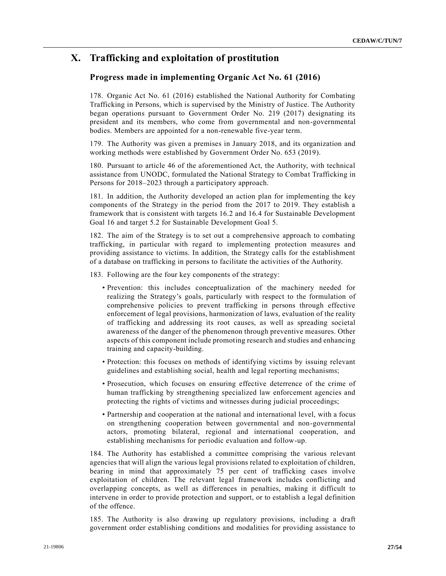# **X. Trafficking and exploitation of prostitution**

# **Progress made in implementing Organic Act No. 61 (2016)**

178. Organic Act No. 61 (2016) established the National Authority for Combating Trafficking in Persons, which is supervised by the Ministry of Justice. The Authority began operations pursuant to Government Order No. 219 (2017) designating its president and its members, who come from governmental and non-governmental bodies. Members are appointed for a non-renewable five-year term.

179. The Authority was given a premises in January 2018, and its organization and working methods were established by Government Order No. 653 (2019).

180. Pursuant to article 46 of the aforementioned Act, the Authority, with technical assistance from UNODC, formulated the National Strategy to Combat Trafficking in Persons for 2018–2023 through a participatory approach.

181. In addition, the Authority developed an action plan for implementing the key components of the Strategy in the period from the 2017 to 2019. They establish a framework that is consistent with targets 16.2 and 16.4 for Sustainable Development Goal 16 and target 5.2 for Sustainable Development Goal 5.

182. The aim of the Strategy is to set out a comprehensive approach to combating trafficking, in particular with regard to implementing protection measures and providing assistance to victims. In addition, the Strategy calls for the establishment of a database on trafficking in persons to facilitate the activities of the Authority.

183. Following are the four key components of the strategy:

- Prevention: this includes conceptualization of the machinery needed for realizing the Strategy's goals, particularly with respect to the formulation of comprehensive policies to prevent trafficking in persons through effective enforcement of legal provisions, harmonization of laws, evaluation of the reality of trafficking and addressing its root causes, as well as spreading societal awareness of the danger of the phenomenon through preventive measures. Other aspects of this component include promoting research and studies and enhancing training and capacity-building.
- Protection: this focuses on methods of identifying victims by issuing relevant guidelines and establishing social, health and legal reporting mechanisms;
- Prosecution, which focuses on ensuring effective deterrence of the crime of human trafficking by strengthening specialized law enforcement agencies and protecting the rights of victims and witnesses during judicial proceedings;
- Partnership and cooperation at the national and international level, with a focus on strengthening cooperation between governmental and non-governmental actors, promoting bilateral, regional and international cooperation, and establishing mechanisms for periodic evaluation and follow-up.

184. The Authority has established a committee comprising the various relevant agencies that will align the various legal provisions related to exploitation of children, bearing in mind that approximately 75 per cent of trafficking cases involve exploitation of children. The relevant legal framework includes conflicting and overlapping concepts, as well as differences in penalties, making it difficult to intervene in order to provide protection and support, or to establish a legal definition of the offence.

185. The Authority is also drawing up regulatory provisions, including a draft government order establishing conditions and modalities for providing assistance to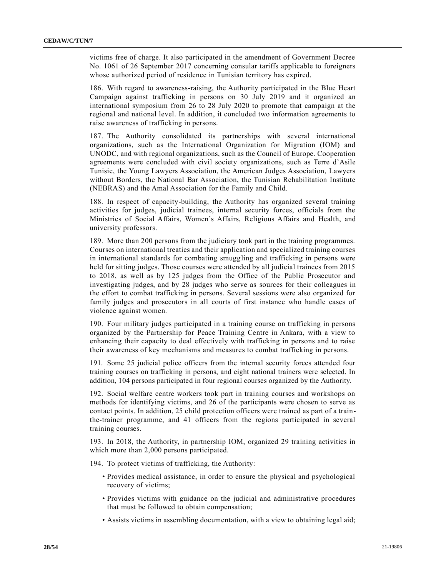victims free of charge. It also participated in the amendment of Government Decree No. 1061 of 26 September 2017 concerning consular tariffs applicable to foreigners whose authorized period of residence in Tunisian territory has expired.

186. With regard to awareness-raising, the Authority participated in the Blue Heart Campaign against trafficking in persons on 30 July 2019 and it organized an international symposium from 26 to 28 July 2020 to promote that campaign at the regional and national level. In addition, it concluded two information agreements to raise awareness of trafficking in persons.

187. The Authority consolidated its partnerships with several international organizations, such as the International Organization for Migration (IOM) and UNODC, and with regional organizations, such as the Council of Europe. Cooperation agreements were concluded with civil society organizations, such as Terre d'Asile Tunisie, the Young Lawyers Association, the American Judges Association, Lawyers without Borders, the National Bar Association, the Tunisian Rehabilitation Institute (NEBRAS) and the Amal Association for the Family and Child.

188. In respect of capacity-building, the Authority has organized several training activities for judges, judicial trainees, internal security forces, officials from the Ministries of Social Affairs, Women's Affairs, Religious Affairs and Health, and university professors.

189. More than 200 persons from the judiciary took part in the training programmes. Courses on international treaties and their application and specialized training courses in international standards for combating smuggling and trafficking in persons were held for sitting judges. Those courses were attended by all judicial trainees from 2015 to 2018, as well as by 125 judges from the Office of the Public Prosecutor and investigating judges, and by 28 judges who serve as sources for their colleagues in the effort to combat trafficking in persons. Several sessions were also organized for family judges and prosecutors in all courts of first instance who handle cases of violence against women.

190. Four military judges participated in a training course on trafficking in persons organized by the Partnership for Peace Training Centre in Ankara, with a view to enhancing their capacity to deal effectively with trafficking in persons and to raise their awareness of key mechanisms and measures to combat trafficking in persons.

191. Some 25 judicial police officers from the internal security forces attended four training courses on trafficking in persons, and eight national trainers were selected. In addition, 104 persons participated in four regional courses organized by the Authority.

192. Social welfare centre workers took part in training courses and workshops on methods for identifying victims, and 26 of the participants were chosen to serve as contact points. In addition, 25 child protection officers were trained as part of a trainthe-trainer programme, and 41 officers from the regions participated in several training courses.

193. In 2018, the Authority, in partnership IOM, organized 29 training activities in which more than 2,000 persons participated.

194. To protect victims of trafficking, the Authority:

- Provides medical assistance, in order to ensure the physical and psychological recovery of victims;
- Provides victims with guidance on the judicial and administrative procedures that must be followed to obtain compensation;
- Assists victims in assembling documentation, with a view to obtaining legal aid;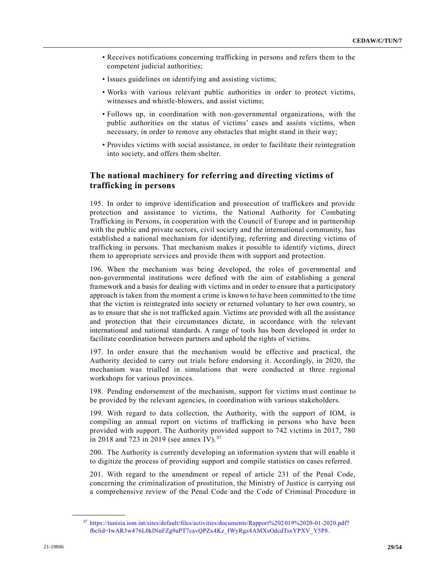- Receives notifications concerning trafficking in persons and refers them to the competent judicial authorities;
- Issues guidelines on identifying and assisting victims;
- Works with various relevant public authorities in order to protect victims, witnesses and whistle-blowers, and assist victims;
- Follows up, in coordination with non-governmental organizations, with the public authorities on the status of victims' cases and assists victims, when necessary, in order to remove any obstacles that might stand in their way;
- Provides victims with social assistance, in order to facilitate their reintegration into society, and offers them shelter.

# **The national machinery for referring and directing victims of trafficking in persons**

195. In order to improve identification and prosecution of traffickers and provide protection and assistance to victims, the National Authority for Combating Trafficking in Persons, in cooperation with the Council of Europe and in partnership with the public and private sectors, civil society and the international community, has established a national mechanism for identifying, referring and directing victims of trafficking in persons. That mechanism makes it possible to identify victims, direct them to appropriate services and provide them with support and protection.

196. When the mechanism was being developed, the roles of governmental and non-governmental institutions were defined with the aim of establishing a general framework and a basis for dealing with victims and in order to ensure that a participatory approach is taken from the moment a crime is known to have been committed to the time that the victim is reintegrated into society or returned voluntary to her own country, so as to ensure that she is not trafficked again. Victims are provided with all the assistance and protection that their circumstances dictate, in accordance with the relevant international and national standards. A range of tools has been developed in order to facilitate coordination between partners and uphold the rights of victims.

197. In order ensure that the mechanism would be effective and practical, the Authority decided to carry out trials before endorsing it. Accordingly, in 2020, the mechanism was trialled in simulations that were conducted at three regional workshops for various provinces.

198. Pending endorsement of the mechanism, support for victims must continue to be provided by the relevant agencies, in coordination with various stakeholders.

199. With regard to data collection, the Authority, with the support of IOM, is compiling an annual report on victims of trafficking in persons who have been provided with support. The Authority provided support to 742 victims in 2017, 780 in 2018 and 723 in 2019 (see annex IV).<sup>37</sup>

200. The Authority is currently developing an information system that will enable it to digitize the process of providing support and compile statistics on cases referred.

201. With regard to the amendment or repeal of article 231 of the Penal Code, concerning the criminalization of prostitution, the Ministry of Justice is carrying out a comprehensive review of the Penal Code and the Code of Criminal Procedure in

<sup>37</sup> [https://tunisia.iom.int/sites/default/files/activities/documents/Rapport%202](https://tunisia.iom.int/sites/default/files/activities/documents/Rapport%202019%2020-01-2020.pdf?fbclid=IwAR3w476L0klNnFZg9aPT7cavQPZx4Kz_IWyRgz4AMXsOdcdTsxYPXV_Y5P8) 019%2020-01-2020.pdf? [fbclid=IwAR3w476L0klNnFZg9aPT7cavQPZx4Kz\\_IWyRgz4AMXsOdcdTsxYPXV\\_Y5P8.](https://tunisia.iom.int/sites/default/files/activities/documents/Rapport%202019%2020-01-2020.pdf?fbclid=IwAR3w476L0klNnFZg9aPT7cavQPZx4Kz_IWyRgz4AMXsOdcdTsxYPXV_Y5P8)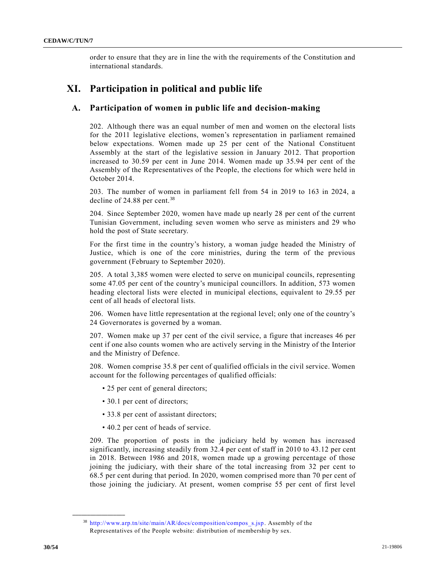order to ensure that they are in line the with the requirements of the Constitution and international standards.

# **XI. Participation in political and public life**

### **A. Participation of women in public life and decision-making**

202. Although there was an equal number of men and women on the electoral lists for the 2011 legislative elections, women's representation in parliament remained below expectations. Women made up 25 per cent of the National Constituent Assembly at the start of the legislative session in January 2012. That proportion increased to 30.59 per cent in June 2014. Women made up 35.94 per cent of the Assembly of the Representatives of the People, the elections for which were held in October 2014.

203. The number of women in parliament fell from 54 in 2019 to 163 in 2024, a decline of 24.88 per cent. $38$ 

204. Since September 2020, women have made up nearly 28 per cent of the current Tunisian Government, including seven women who serve as ministers and 29 who hold the post of State secretary.

For the first time in the country's history, a woman judge headed the Ministry of Justice, which is one of the core ministries, during the term of the previous government (February to September 2020).

205. A total 3,385 women were elected to serve on municipal councils, representing some 47.05 per cent of the country's municipal councillors. In addition, 573 women heading electoral lists were elected in municipal elections, equivalent to 29.55 per cent of all heads of electoral lists.

206. Women have little representation at the regional level; only one of the country's 24 Governorates is governed by a woman.

207. Women make up 37 per cent of the civil service, a figure that increases 46 per cent if one also counts women who are actively serving in the Ministry of the Interior and the Ministry of Defence.

208. Women comprise 35.8 per cent of qualified officials in the civil service. Women account for the following percentages of qualified officials:

- 25 per cent of general directors;
- 30.1 per cent of directors;
- 33.8 per cent of assistant directors;
- 40.2 per cent of heads of service.

209. The proportion of posts in the judiciary held by women has increased significantly, increasing steadily from 32.4 per cent of staff in 2010 to 43.12 per cent in 2018. Between 1986 and 2018, women made up a growing percentage of those joining the judiciary, with their share of the total increasing from 32 per cent to 68.5 per cent during that period. In 2020, women comprised more than 70 per cent of those joining the judiciary. At present, women comprise 55 per cent of first level

<sup>38</sup> [http://www.arp.tn/site/main/AR/docs/composition/compos\\_s.jsp.](http://www.arp.tn/site/main/AR/docs/composition/compos_s.jsp) Assembly of the Representatives of the People website: distribution of membership by sex.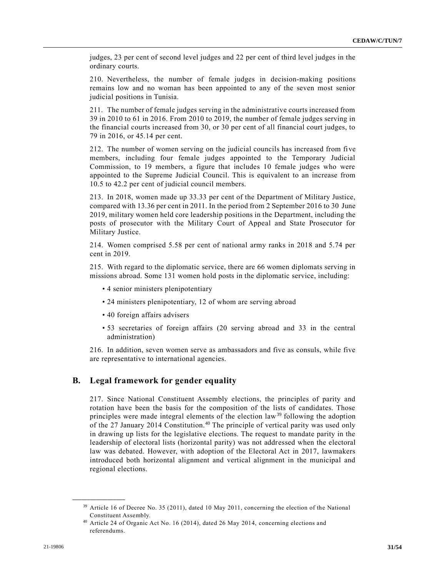judges, 23 per cent of second level judges and 22 per cent of third level judges in the ordinary courts.

210. Nevertheless, the number of female judges in decision-making positions remains low and no woman has been appointed to any of the seven most senior judicial positions in Tunisia.

211. The number of female judges serving in the administrative courts increased from 39 in 2010 to 61 in 2016. From 2010 to 2019, the number of female judges serving in the financial courts increased from 30, or 30 per cent of all financial court judges, to 79 in 2016, or 45.14 per cent.

212. The number of women serving on the judicial councils has increased from five members, including four female judges appointed to the Temporary Judicial Commission, to 19 members, a figure that includes 10 female judges who were appointed to the Supreme Judicial Council. This is equivalent to an increase from 10.5 to 42.2 per cent of judicial council members.

213. In 2018, women made up 33.33 per cent of the Department of Military Justice, compared with 13.36 per cent in 2011. In the period from 2 September 2016 to 30 June 2019, military women held core leadership positions in the Department, including the posts of prosecutor with the Military Court of Appeal and State Prosecutor for Military Justice.

214. Women comprised 5.58 per cent of national army ranks in 2018 and 5.74 per cent in 2019.

215. With regard to the diplomatic service, there are 66 women diplomats serving in missions abroad. Some 131 women hold posts in the diplomatic service, including:

- 4 senior ministers plenipotentiary
- 24 ministers plenipotentiary, 12 of whom are serving abroad
- 40 foreign affairs advisers
- 53 secretaries of foreign affairs (20 serving abroad and 33 in the central administration)

216. In addition, seven women serve as ambassadors and five as consuls, while five are representative to international agencies.

### **B. Legal framework for gender equality**

217. Since National Constituent Assembly elections, the principles of parity and rotation have been the basis for the composition of the lists of candidates. Those principles were made integral elements of the election law<sup>39</sup> following the adoption of the 27 January 2014 Constitution.<sup>40</sup> The principle of vertical parity was used only in drawing up lists for the legislative elections. The request to mandate parity in the leadership of electoral lists (horizontal parity) was not addressed when the electoral law was debated. However, with adoption of the Electoral Act in 2017, lawmakers introduced both horizontal alignment and vertical alignment in the municipal and regional elections.

<sup>39</sup> Article 16 of Decree No. 35 (2011), dated 10 May 2011, concerning the election of the National Constituent Assembly.

<sup>40</sup> Article 24 of Organic Act No. 16 (2014), dated 26 May 2014, concerning elections and referendums.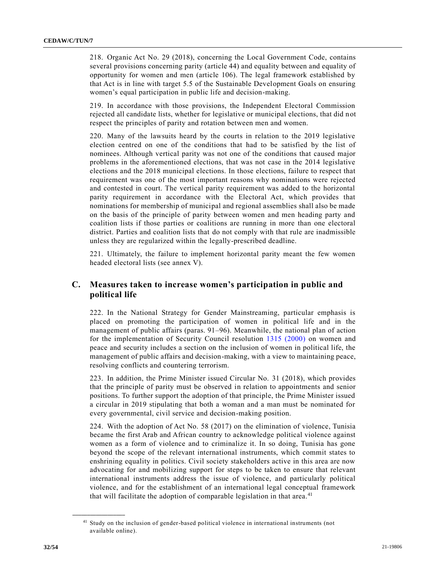218. Organic Act No. 29 (2018), concerning the Local Government Code, contains several provisions concerning parity (article 44) and equality between and equality of opportunity for women and men (article 106). The legal framework established by that Act is in line with target 5.5 of the Sustainable Development Goals on ensuring women's equal participation in public life and decision-making.

219. In accordance with those provisions, the Independent Electoral Commission rejected all candidate lists, whether for legislative or municipal elections, that did not respect the principles of parity and rotation between men and women.

220. Many of the lawsuits heard by the courts in relation to the 2019 legislative election centred on one of the conditions that had to be satisfied by the list of nominees. Although vertical parity was not one of the conditions that caused major problems in the aforementioned elections, that was not case in the 2014 legislative elections and the 2018 municipal elections. In those elections, failure to respect that requirement was one of the most important reasons why nominations were rejected and contested in court. The vertical parity requirement was added to the horizontal parity requirement in accordance with the Electoral Act, which provides that nominations for membership of municipal and regional assemblies shall also be made on the basis of the principle of parity between women and men heading party and coalition lists if those parties or coalitions are running in more than one electoral district. Parties and coalition lists that do not comply with that rule are inadmissible unless they are regularized within the legally-prescribed deadline.

221. Ultimately, the failure to implement horizontal parity meant the few women headed electoral lists (see annex V).

# **C. Measures taken to increase women's participation in public and political life**

222. In the National Strategy for Gender Mainstreaming, particular emphasis is placed on promoting the participation of women in political life and in the management of public affairs (paras. 91–96). Meanwhile, the national plan of action for the implementation of Security Council resolution [1315 \(2000\)](https://undocs.org/en/S/RES/1315(2000)) on women and peace and security includes a section on the inclusion of women in political life, the management of public affairs and decision-making, with a view to maintaining peace, resolving conflicts and countering terrorism.

223. In addition, the Prime Minister issued Circular No. [31 \(2018\),](https://undocs.org/en/S/RES/31(2018)) which provides that the principle of parity must be observed in relation to appointments and senior positions. To further support the adoption of that principle, the Prime Minister issued a circular in 2019 stipulating that both a woman and a man must be nominated for every governmental, civil service and decision-making position.

224. With the adoption of Act No. [58 \(2017\)](https://undocs.org/en/S/RES/58(2017)) on the elimination of violence, Tunisia became the first Arab and African country to acknowledge political violence against women as a form of violence and to criminalize it. In so doing, Tunisia has gone beyond the scope of the relevant international instruments, which commit states to enshrining equality in politics. Civil society stakeholders active in this area are now advocating for and mobilizing support for steps to be taken to ensure that relevant international instruments address the issue of violence, and particularly political violence, and for the establishment of an international legal conceptual framework that will facilitate the adoption of comparable legislation in that area. $41$ 

<sup>41</sup> Study on the inclusion of gender-based political violence in international instruments (not available online).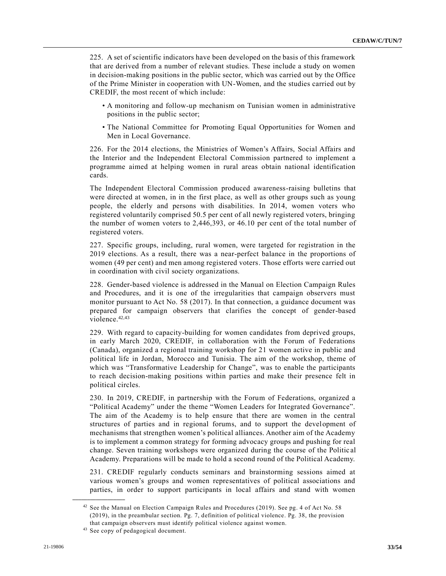225. A set of scientific indicators have been developed on the basis of this framework that are derived from a number of relevant studies. These include a study on women in decision-making positions in the public sector, which was carried out by the Office of the Prime Minister in cooperation with UN-Women, and the studies carried out by CREDIF, the most recent of which include:

- A monitoring and follow-up mechanism on Tunisian women in administrative positions in the public sector;
- The National Committee for Promoting Equal Opportunities for Women and Men in Local Governance.

226. For the 2014 elections, the Ministries of Women's Affairs, Social Affairs and the Interior and the Independent Electoral Commission partnered to implement a programme aimed at helping women in rural areas obtain national identification cards.

The Independent Electoral Commission produced awareness-raising bulletins that were directed at women, in in the first place, as well as other groups such as young people, the elderly and persons with disabilities. In 2014, women voters who registered voluntarily comprised 50.5 per cent of all newly registered voters, bringing the number of women voters to 2,446,393, or 46.10 per cent of the total number of registered voters.

227. Specific groups, including, rural women, were targeted for registration in the 2019 elections. As a result, there was a near-perfect balance in the proportions of women (49 per cent) and men among registered voters. Those efforts were carried out in coordination with civil society organizations.

228. Gender-based violence is addressed in the Manual on Election Campaign Rules and Procedures, and it is one of the irregularities that campaign observers must monitor pursuant to Act No. [58 \(2017\).](https://undocs.org/en/S/RES/58(2017)) In that connection, a guidance document was prepared for campaign observers that clarifies the concept of gender-based violence.<sup>42,43</sup>

229. With regard to capacity-building for women candidates from deprived groups, in early March 2020, CREDIF, in collaboration with the Forum of Federations (Canada), organized a regional training workshop for 21 women active in public and political life in Jordan, Morocco and Tunisia. The aim of the workshop, theme of which was "Transformative Leadership for Change", was to enable the participants to reach decision-making positions within parties and make their presence felt in political circles.

230. In 2019, CREDIF, in partnership with the Forum of Federations, organized a "Political Academy" under the theme "Women Leaders for Integrated Governance". The aim of the Academy is to help ensure that there are women in the central structures of parties and in regional forums, and to support the development of mechanisms that strengthen women's political alliances. Another aim of the Academy is to implement a common strategy for forming advocacy groups and pushing for real change. Seven training workshops were organized during the course of the Politic al Academy. Preparations will be made to hold a second round of the Political Academy.

231. CREDIF regularly conducts seminars and brainstorming sessions aimed at various women's groups and women representatives of political associations and parties, in order to support participants in local affairs and stand with women

<sup>42</sup> See the Manual on Election Campaign Rules and Procedures (2019). See pg. 4 of Act No. 58 (2019), in the preambular section. Pg. 7, definition of political violence. Pg. 38, the provision that campaign observers must identify political violence against women.

<sup>43</sup> See copy of pedagogical document.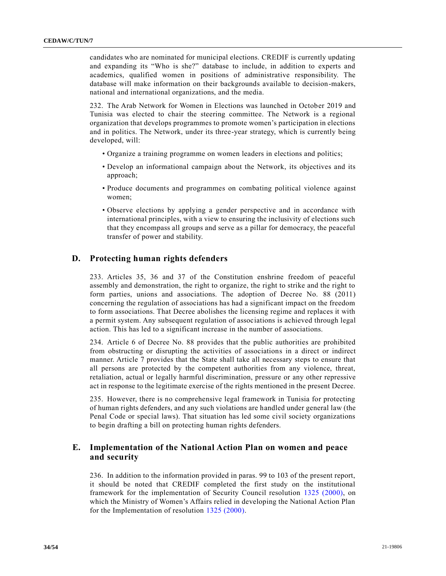candidates who are nominated for municipal elections. CREDIF is currently updating and expanding its "Who is she?" database to include, in addition to experts and academics, qualified women in positions of administrative responsibility. The database will make information on their backgrounds available to decision-makers, national and international organizations, and the media.

232. The Arab Network for Women in Elections was launched in October 2019 and Tunisia was elected to chair the steering committee. The Network is a regional organization that develops programmes to promote women's participation in elections and in politics. The Network, under its three-year strategy, which is currently being developed, will:

- Organize a training programme on women leaders in elections and politics;
- Develop an informational campaign about the Network, its objectives and its approach;
- Produce documents and programmes on combating political violence against women;
- Observe elections by applying a gender perspective and in accordance with international principles, with a view to ensuring the inclusivity of elections such that they encompass all groups and serve as a pillar for democracy, the peaceful transfer of power and stability.

#### **D. Protecting human rights defenders**

233. Articles 35, 36 and 37 of the Constitution enshrine freedom of peaceful assembly and demonstration, the right to organize, the right to strike and the right to form parties, unions and associations. The adoption of Decree No. [88 \(2011\)](https://undocs.org/en/S/RES/88(2011)) concerning the regulation of associations has had a significant impact on the freedom to form associations. That Decree abolishes the licensing regime and replaces it with a permit system. Any subsequent regulation of associations is achieved through legal action. This has led to a significant increase in the number of associations.

234. Article 6 of Decree No. 88 provides that the public authorities are prohibited from obstructing or disrupting the activities of associations in a direct or indirect manner. Article 7 provides that the State shall take all necessary steps to ensure that all persons are protected by the competent authorities from any violence, threat, retaliation, actual or legally harmful discrimination, pressure or any other repressive act in response to the legitimate exercise of the rights mentioned in the present Decree.

235. However, there is no comprehensive legal framework in Tunisia for protecting of human rights defenders, and any such violations are handled under general law (the Penal Code or special laws). That situation has led some civil society organizations to begin drafting a bill on protecting human rights defenders.

### **E. Implementation of the National Action Plan on women and peace and security**

236. In addition to the information provided in paras. 99 to 103 of the present report, it should be noted that CREDIF completed the first study on the institutional framework for the implementation of Security Council resolution [1325 \(2000\),](https://undocs.org/en/S/RES/1325(2000)) on which the Ministry of Women's Affairs relied in developing the National Action Plan for the Implementation of resolution [1325 \(2000\).](https://undocs.org/en/S/RES/1325(2000))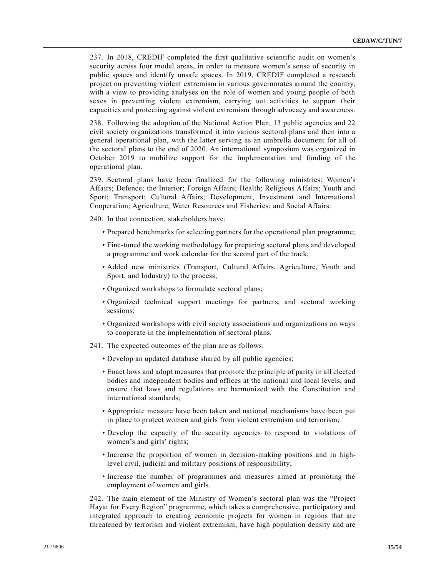237. In 2018, CREDIF completed the first qualitative scientific audit on women's security across four model areas, in order to measure women's sense of security in public spaces and identify unsafe spaces. In 2019, CREDIF completed a research project on preventing violent extremism in various governorates around the country, with a view to providing analyses on the role of women and young people of both sexes in preventing violent extremism, carrying out activities to support their capacities and protecting against violent extremism through advocacy and awareness.

238. Following the adoption of the National Action Plan, 13 public agencies and 22 civil society organizations transformed it into various sectoral plans and then into a general operational plan, with the latter serving as an umbrella document for all of the sectoral plans to the end of 2020. An international symposium was organized in October 2019 to mobilize support for the implementation and funding of the operational plan.

239. Sectoral plans have been finalized for the following ministries: Women's Affairs; Defence; the Interior; Foreign Affairs; Health; Religious Affairs; Youth and Sport; Transport; Cultural Affairs; Development, Investment and International Cooperation; Agriculture, Water Resources and Fisheries; and Social Affairs.

240. In that connection, stakeholders have:

- Prepared benchmarks for selecting partners for the operational plan programme;
- Fine-tuned the working methodology for preparing sectoral plans and developed a programme and work calendar for the second part of the track;
- Added new ministries (Transport, Cultural Affairs, Agriculture, Youth and Sport, and Industry) to the process;
- Organized workshops to formulate sectoral plans;
- Organized technical support meetings for partners, and sectoral working sessions;
- Organized workshops with civil society associations and organizations on ways to cooperate in the implementation of sectoral plans.
- 241. The expected outcomes of the plan are as follows:
	- Develop an updated database shared by all public agencies;
	- Enact laws and adopt measures that promote the principle of parity in all elected bodies and independent bodies and offices at the national and local levels, and ensure that laws and regulations are harmonized with the Constitution and international standards;
	- Appropriate measure have been taken and national mechanisms have been put in place to protect women and girls from violent extremism and terrorism;
	- Develop the capacity of the security agencies to respond to violations of women's and girls' rights;
	- Increase the proportion of women in decision-making positions and in highlevel civil, judicial and military positions of responsibility;
	- Increase the number of programmes and measures aimed at promoting the employment of women and girls.

242. The main element of the Ministry of Women's sectoral plan was the "Project Hayat for Every Region" programme, which takes a comprehensive, participatory and integrated approach to creating economic projects for women in regions that are threatened by terrorism and violent extremism, have high population density and are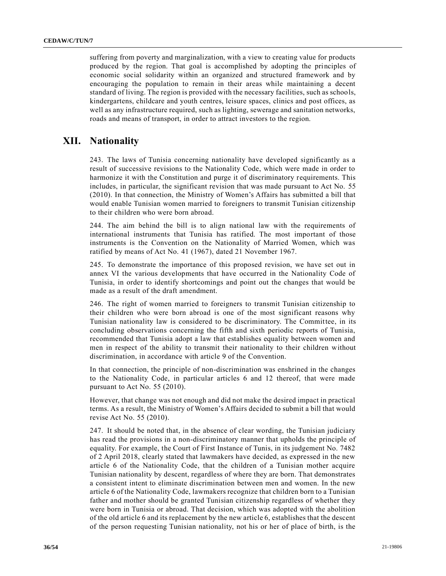suffering from poverty and marginalization, with a view to creating value for products produced by the region. That goal is accomplished by adopting the principles of economic social solidarity within an organized and structured framework and by encouraging the population to remain in their areas while maintaining a decent standard of living. The region is provided with the necessary facilities, such as schools, kindergartens, childcare and youth centres, leisure spaces, clinics and post offices, as well as any infrastructure required, such as lighting, sewerage and sanitation networks, roads and means of transport, in order to attract investors to the region.

# **XII. Nationality**

243. The laws of Tunisia concerning nationality have developed significantly as a result of successive revisions to the Nationality Code, which were made in order to harmonize it with the Constitution and purge it of discriminatory requirements. This includes, in particular, the significant revision that was made pursuant to Act No. [55](https://undocs.org/en/S/RES/55(2010))  [\(2010\).](https://undocs.org/en/S/RES/55(2010)) In that connection, the Ministry of Women's Affairs has submitted a bill that would enable Tunisian women married to foreigners to transmit Tunisian citizenship to their children who were born abroad.

244. The aim behind the bill is to align national law with the requirements of international instruments that Tunisia has ratified. The most important of those instruments is the Convention on the Nationality of Married Women, which was ratified by means of Act No. [41 \(1967\),](https://undocs.org/en/S/RES/41(1967)) dated 21 November 1967.

245. To demonstrate the importance of this proposed revision, we have set out in annex VI the various developments that have occurred in the Nationality Code of Tunisia, in order to identify shortcomings and point out the changes that would be made as a result of the draft amendment.

246. The right of women married to foreigners to transmit Tunisian citizenship to their children who were born abroad is one of the most significant reasons why Tunisian nationality law is considered to be discriminatory. The Committee, in its concluding observations concerning the fifth and sixth periodic reports of Tunisia, recommended that Tunisia adopt a law that establishes equality between women and men in respect of the ability to transmit their nationality to their children without discrimination, in accordance with article 9 of the Convention.

In that connection, the principle of non-discrimination was enshrined in the changes to the Nationality Code, in particular articles 6 and 12 thereof, that were made pursuant to Act No. [55 \(2010\).](https://undocs.org/en/S/RES/55(2010))

However, that change was not enough and did not make the desired impact in practical terms. As a result, the Ministry of Women's Affairs decided to submit a bill that would revise Act No. [55 \(2010\).](https://undocs.org/en/S/RES/55(2010))

247. It should be noted that, in the absence of clear wording, the Tunisian judiciary has read the provisions in a non-discriminatory manner that upholds the principle of equality. For example, the Court of First Instance of Tunis, in its judgement No. 7482 of 2 April 2018, clearly stated that lawmakers have decided, as expressed in the new article 6 of the Nationality Code, that the children of a Tunisian mother acquire Tunisian nationality by descent, regardless of where they are born. That demonstrates a consistent intent to eliminate discrimination between men and women. In the new article 6 of the Nationality Code, lawmakers recognize that children born to a Tunisian father and mother should be granted Tunisian citizenship regardless of whether they were born in Tunisia or abroad. That decision, which was adopted with the abolition of the old article 6 and its replacement by the new article 6, establishes that the descent of the person requesting Tunisian nationality, not his or her of place of birth, is the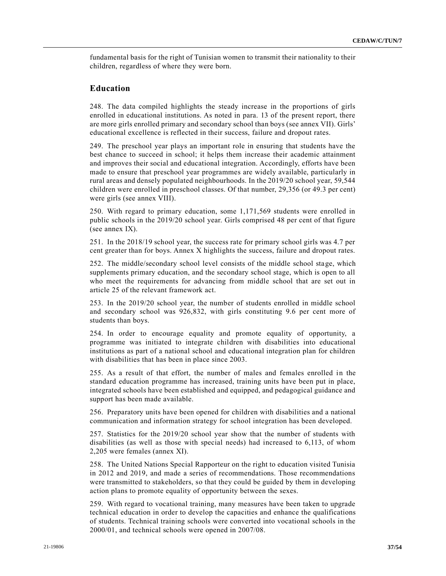fundamental basis for the right of Tunisian women to transmit their nationality to their children, regardless of where they were born.

### **Education**

248. The data compiled highlights the steady increase in the proportions of girls enrolled in educational institutions. As noted in para. 13 of the present report, there are more girls enrolled primary and secondary school than boys (see annex VII). Girls' educational excellence is reflected in their success, failure and dropout rates.

249. The preschool year plays an important role in ensuring that students have the best chance to succeed in school; it helps them increase their academic attainment and improves their social and educational integration. Accordingly, efforts have been made to ensure that preschool year programmes are widely available, particularly in rural areas and densely populated neighbourhoods. In the 2019/20 school year, 59,544 children were enrolled in preschool classes. Of that number, 29,356 (or 49.3 per cent) were girls (see annex VIII).

250. With regard to primary education, some 1,171,569 students were enrolled in public schools in the 2019/20 school year. Girls comprised 48 per cent of that figure (see annex IX).

251. In the 2018/19 school year, the success rate for primary school girls was 4.7 per cent greater than for boys. Annex X highlights the success, failure and dropout rates.

252. The middle/secondary school level consists of the middle school stage, which supplements primary education, and the secondary school stage, which is open to all who meet the requirements for advancing from middle school that are set out in article 25 of the relevant framework act.

253. In the 2019/20 school year, the number of students enrolled in middle school and secondary school was 926,832, with girls constituting 9.6 per cent more of students than boys.

254. In order to encourage equality and promote equality of opportunity, a programme was initiated to integrate children with disabilities into educational institutions as part of a national school and educational integration plan for children with disabilities that has been in place since 2003.

255. As a result of that effort, the number of males and females enrolled in the standard education programme has increased, training units have been put in place, integrated schools have been established and equipped, and pedagogical guidance and support has been made available.

256. Preparatory units have been opened for children with disabilities and a national communication and information strategy for school integration has been developed.

257. Statistics for the 2019/20 school year show that the number of students with disabilities (as well as those with special needs) had increased to 6,113, of whom 2,205 were females (annex XI).

258. The United Nations Special Rapporteur on the right to education visited Tunisia in 2012 and 2019, and made a series of recommendations. Those recommendations were transmitted to stakeholders, so that they could be guided by them in developing action plans to promote equality of opportunity between the sexes.

259. With regard to vocational training, many measures have been taken to upgrade technical education in order to develop the capacities and enhance the qualifications of students. Technical training schools were converted into vocational schools in the 2000/01, and technical schools were opened in 2007/08.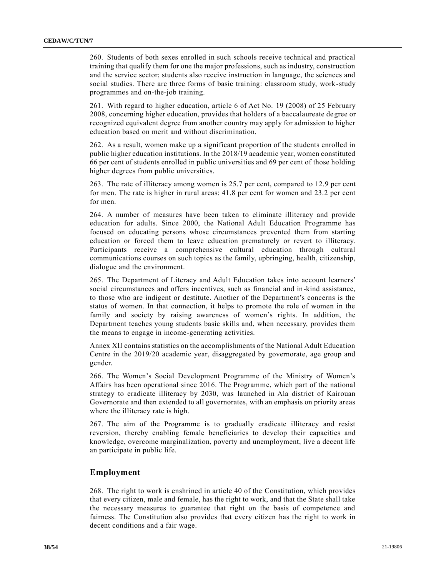260. Students of both sexes enrolled in such schools receive technical and practical training that qualify them for one the major professions, such as industry, construction and the service sector; students also receive instruction in language, the sciences and social studies. There are three forms of basic training: classroom study, work-study programmes and on-the-job training.

261. With regard to higher education, article 6 of Act No. [19 \(2008\)](https://undocs.org/en/S/RES/19(2008)) of 25 February 2008, concerning higher education, provides that holders of a baccalaureate degree or recognized equivalent degree from another country may apply for admission to higher education based on merit and without discrimination.

262. As a result, women make up a significant proportion of the students enrolled in public higher education institutions. In the 2018/19 academic year, women constituted 66 per cent of students enrolled in public universities and 69 per cent of those holding higher degrees from public universities.

263. The rate of illiteracy among women is 25.7 per cent, compared to 12.9 per cent for men. The rate is higher in rural areas: 41.8 per cent for women and 23.2 per cent for men.

264. A number of measures have been taken to eliminate illiteracy and provide education for adults. Since 2000, the National Adult Education Programme has focused on educating persons whose circumstances prevented them from starting education or forced them to leave education prematurely or revert to illiteracy. Participants receive a comprehensive cultural education through cultural communications courses on such topics as the family, upbringing, health, citizenship, dialogue and the environment.

265. The Department of Literacy and Adult Education takes into account learners' social circumstances and offers incentives, such as financial and in-kind assistance, to those who are indigent or destitute. Another of the Department's concerns is the status of women. In that connection, it helps to promote the role of women in the family and society by raising awareness of women's rights. In addition, the Department teaches young students basic skills and, when necessary, provides them the means to engage in income-generating activities.

Annex XII contains statistics on the accomplishments of the National Adult Education Centre in the 2019/20 academic year, disaggregated by governorate, age group and gender.

266. The Women's Social Development Programme of the Ministry of Women's Affairs has been operational since 2016. The Programme, which part of the national strategy to eradicate illiteracy by 2030, was launched in Ala district of Kairouan Governorate and then extended to all governorates, with an emphasis on priority areas where the illiteracy rate is high.

267. The aim of the Programme is to gradually eradicate illiteracy and resist reversion, thereby enabling female beneficiaries to develop their capacities and knowledge, overcome marginalization, poverty and unemployment, live a decent life an participate in public life.

#### **Employment**

268. The right to work is enshrined in article 40 of the Constitution, which provides that every citizen, male and female, has the right to work, and that the State shall take the necessary measures to guarantee that right on the basis of competence and fairness. The Constitution also provides that every citizen has the right to work in decent conditions and a fair wage.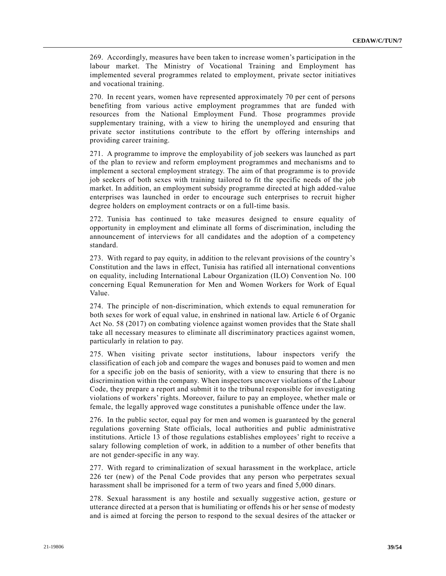269. Accordingly, measures have been taken to increase women's participation in the labour market. The Ministry of Vocational Training and Employment has implemented several programmes related to employment, private sector initiatives and vocational training.

270. In recent years, women have represented approximately 70 per cent of persons benefiting from various active employment programmes that are funded with resources from the National Employment Fund. Those programmes provide supplementary training, with a view to hiring the unemployed and ensuring that private sector institutions contribute to the effort by offering internships and providing career training.

271. A programme to improve the employability of job seekers was launched as part of the plan to review and reform employment programmes and mechanisms and to implement a sectoral employment strategy. The aim of that programme is to provide job seekers of both sexes with training tailored to fit the specific needs of the job market. In addition, an employment subsidy programme directed at high added-value enterprises was launched in order to encourage such enterprises to recruit higher degree holders on employment contracts or on a full-time basis.

272. Tunisia has continued to take measures designed to ensure equality of opportunity in employment and eliminate all forms of discrimination, including the announcement of interviews for all candidates and the adoption of a competency standard.

273. With regard to pay equity, in addition to the relevant provisions of the country's Constitution and the laws in effect, Tunisia has ratified all international conventions on equality, including International Labour Organization (ILO) Convention No. 100 concerning Equal Remuneration for Men and Women Workers for Work of Equal Value.

274. The principle of non-discrimination, which extends to equal remuneration for both sexes for work of equal value, in enshrined in national law. Article 6 of Organic Act No. [58 \(2017\)](https://undocs.org/en/S/RES/58(2017)) on combating violence against women provides that the State shall take all necessary measures to eliminate all discriminatory practices against women, particularly in relation to pay.

275. When visiting private sector institutions, labour inspectors verify the classification of each job and compare the wages and bonuses paid to women and men for a specific job on the basis of seniority, with a view to ensuring that there is no discrimination within the company. When inspectors uncover violations of the Labour Code, they prepare a report and submit it to the tribunal responsible for investigating violations of workers' rights. Moreover, failure to pay an employee, whether male or female, the legally approved wage constitutes a punishable offence under the law.

276. In the public sector, equal pay for men and women is guaranteed by the general regulations governing State officials, local authorities and public administrative institutions. Article 13 of those regulations establishes employees' right to receive a salary following completion of work, in addition to a number of other benefits that are not gender-specific in any way.

277. With regard to criminalization of sexual harassment in the workplace, article 226 ter (new) of the Penal Code provides that any person who perpetrates sexual harassment shall be imprisoned for a term of two years and fined 5,000 dinars.

278. Sexual harassment is any hostile and sexually suggestive action, gesture or utterance directed at a person that is humiliating or offends his or her sense of modesty and is aimed at forcing the person to respond to the sexual desires of the attacker or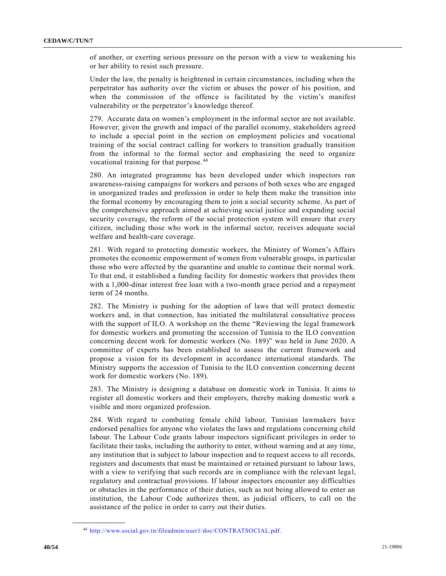of another, or exerting serious pressure on the person with a view to weakening his or her ability to resist such pressure.

Under the law, the penalty is heightened in certain circumstances, including when the perpetrator has authority over the victim or abuses the power of his position, and when the commission of the offence is facilitated by the victim's manifest vulnerability or the perpetrator's knowledge thereof.

279. Accurate data on women's employment in the informal sector are not available. However, given the growth and impact of the parallel economy, stakeholders agreed to include a special point in the section on employment policies and vocational training of the social contract calling for workers to transition gradually transition from the informal to the formal sector and emphasizing the need to organize vocational training for that purpose. <sup>44</sup>

280. An integrated programme has been developed under which inspectors run awareness-raising campaigns for workers and persons of both sexes who are engaged in unorganized trades and profession in order to help them make the transition into the formal economy by encouraging them to join a social security scheme. As part of the comprehensive approach aimed at achieving social justice and expanding social security coverage, the reform of the social protection system will ensure that every citizen, including those who work in the informal sector, receives adequate social welfare and health-care coverage.

281. With regard to protecting domestic workers, the Ministry of Women's Affairs promotes the economic empowerment of women from vulnerable groups, in particular those who were affected by the quarantine and unable to continue their normal work. To that end, it established a funding facility for domestic workers that provides them with a 1,000-dinar interest free loan with a two-month grace period and a repayment term of 24 months.

282. The Ministry is pushing for the adoption of laws that will protect domestic workers and, in that connection, has initiated the multilateral consultative process with the support of ILO. A workshop on the theme "Reviewing the legal framework for domestic workers and promoting the accession of Tunisia to the ILO convention concerning decent work for domestic workers (No. 189)" was held in June 2020. A committee of experts has been established to assess the current framework and propose a vision for its development in accordance international standards. The Ministry supports the accession of Tunisia to the ILO convention concerning decent work for domestic workers (No. 189).

283. The Ministry is designing a database on domestic work in Tunisia. It aims to register all domestic workers and their employers, thereby making domestic work a visible and more organized profession.

284. With regard to combating female child labour, Tunisian lawmakers have endorsed penalties for anyone who violates the laws and regulations concerning child labour. The Labour Code grants labour inspectors significant privileges in order to facilitate their tasks, including the authority to enter, without warning and at any time, any institution that is subject to labour inspection and to request access to all records, registers and documents that must be maintained or retained pursuant to labour laws, with a view to verifying that such records are in compliance with the relevant legal, regulatory and contractual provisions. If labour inspectors encounter any difficulties or obstacles in the performance of their duties, such as not being allowed to enter an institution, the Labour Code authorizes them, as judicial officers, to call on the assistance of the police in order to carry out their duties.

<sup>44</sup> [http://www.social.gov.tn/fileadmin/user1/doc/CONTRATSOCIAL.pdf.](http://www.social.gov.tn/fileadmin/user1/doc/CONTRATSOCIAL.pdf)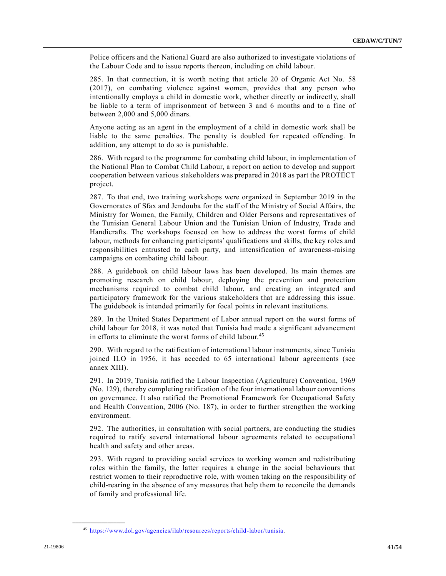Police officers and the National Guard are also authorized to investigate violations of the Labour Code and to issue reports thereon, including on child labour.

285. In that connection, it is worth noting that article 20 of Organic Act No. [58](https://undocs.org/en/S/RES/58(2017))  [\(2017\),](https://undocs.org/en/S/RES/58(2017)) on combating violence against women, provides that any person who intentionally employs a child in domestic work, whether directly or indirectly, shall be liable to a term of imprisonment of between 3 and 6 months and to a fine of between 2,000 and 5,000 dinars.

Anyone acting as an agent in the employment of a child in domestic work shall be liable to the same penalties. The penalty is doubled for repeated offending. In addition, any attempt to do so is punishable.

286. With regard to the programme for combating child labour, in implementation of the National Plan to Combat Child Labour, a report on action to develop and support cooperation between various stakeholders was prepared in 2018 as part the PROTECT project.

287. To that end, two training workshops were organized in September 2019 in the Governorates of Sfax and Jendouba for the staff of the Ministry of Social Affairs, the Ministry for Women, the Family, Children and Older Persons and representatives of the Tunisian General Labour Union and the Tunisian Union of Industry, Trade and Handicrafts. The workshops focused on how to address the worst forms of child labour, methods for enhancing participants' qualifications and skills, the key roles and responsibilities entrusted to each party, and intensification of awareness-raising campaigns on combating child labour.

288. A guidebook on child labour laws has been developed. Its main themes are promoting research on child labour, deploying the prevention and protection mechanisms required to combat child labour, and creating an integrated and participatory framework for the various stakeholders that are addressing this issue. The guidebook is intended primarily for focal points in relevant institutions.

289. In the United States Department of Labor annual report on the worst forms of child labour for 2018, it was noted that Tunisia had made a significant advancement in efforts to eliminate the worst forms of child labour.<sup>45</sup>

290. With regard to the ratification of international labour instruments, since Tunisia joined ILO in 1956, it has acceded to 65 international labour agreements (see annex XIII).

291. In 2019, Tunisia ratified the Labour Inspection (Agriculture) Convention, 1969 (No. 129), thereby completing ratification of the four international labour conventions on governance. It also ratified the Promotional Framework for Occupational Safety and Health Convention, 2006 (No. 187), in order to further strengthen the working environment.

292. The authorities, in consultation with social partners, are conducting the studies required to ratify several international labour agreements related to occupational health and safety and other areas.

293. With regard to providing social services to working women and redistributing roles within the family, the latter requires a change in the social behaviours that restrict women to their reproductive role, with women taking on the responsibility of child-rearing in the absence of any measures that help them to reconcile the demands of family and professional life.

<sup>45</sup> [https://www.dol.gov/agencies/ilab/resources/reports/child-labor/tunisia.](https://www.dol.gov/agencies/ilab/resources/reports/child-labor/tunisia)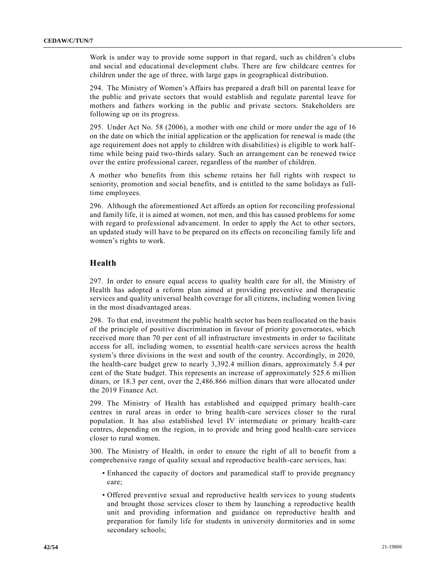Work is under way to provide some support in that regard, such as children's clubs and social and educational development clubs. There are few childcare centres for children under the age of three, with large gaps in geographical distribution.

294. The Ministry of Women's Affairs has prepared a draft bill on parental leave for the public and private sectors that would establish and regulate parental leave for mothers and fathers working in the public and private sectors. Stakeholders are following up on its progress.

295. Under Act No. [58 \(2006\),](https://undocs.org/en/S/RES/58(2006)) a mother with one child or more under the age of 16 on the date on which the initial application or the application for renewal is made (the age requirement does not apply to children with disabilities) is eligible to work halftime while being paid two-thirds salary. Such an arrangement can be renewed twice over the entire professional career, regardless of the number of children.

A mother who benefits from this scheme retains her full rights with respect to seniority, promotion and social benefits, and is entitled to the same holidays as fulltime employees.

296. Although the aforementioned Act affords an option for reconciling professional and family life, it is aimed at women, not men, and this has caused problems for some with regard to professional advancement. In order to apply the Act to other sectors, an updated study will have to be prepared on its effects on reconciling family life and women's rights to work.

#### **Health**

297. In order to ensure equal access to quality health care for all, the Ministry of Health has adopted a reform plan aimed at providing preventive and therapeutic services and quality universal health coverage for all citizens, including women living in the most disadvantaged areas.

298. To that end, investment the public health sector has been reallocated on the basis of the principle of positive discrimination in favour of priority governorates, which received more than 70 per cent of all infrastructure investments in order to facilitate access for all, including women, to essential health-care services across the health system's three divisions in the west and south of the country. Accordingly, in 2020, the health-care budget grew to nearly 3,392.4 million dinars, approximately 5.4 per cent of the State budget. This represents an increase of approximately 525.6 million dinars, or 18.3 per cent, over the 2,486.866 million dinars that were allocated under the 2019 Finance Act.

299. The Ministry of Health has established and equipped primary health-care centres in rural areas in order to bring health-care services closer to the rural population. It has also established level IV intermediate or primary health-care centres, depending on the region, in to provide and bring good health-care services closer to rural women.

300. The Ministry of Health, in order to ensure the right of all to benefit from a comprehensive range of quality sexual and reproductive health-care services, has:

- Enhanced the capacity of doctors and paramedical staff to provide pregnancy care;
- Offered preventive sexual and reproductive health services to young students and brought those services closer to them by launching a reproductive health unit and providing information and guidance on reproductive health and preparation for family life for students in university dormitories and in some secondary schools;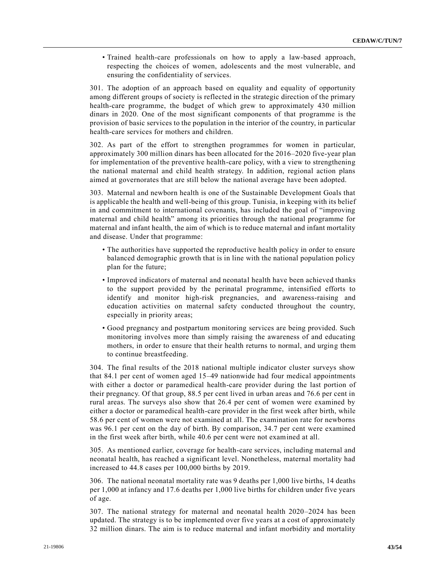• Trained health-care professionals on how to apply a law-based approach, respecting the choices of women, adolescents and the most vulnerable, and ensuring the confidentiality of services.

301. The adoption of an approach based on equality and equality of opportunity among different groups of society is reflected in the strategic direction of the primary health-care programme, the budget of which grew to approximately 430 million dinars in 2020. One of the most significant components of that programme is the provision of basic services to the population in the interior of the country, in particular health-care services for mothers and children.

302. As part of the effort to strengthen programmes for women in particular, approximately 300 million dinars has been allocated for the 2016–2020 five-year plan for implementation of the preventive health-care policy, with a view to strengthening the national maternal and child health strategy. In addition, regional action plans aimed at governorates that are still below the national average have been adopted.

303. Maternal and newborn health is one of the Sustainable Development Goals that is applicable the health and well-being of this group. Tunisia, in keeping with its belief in and commitment to international covenants, has included the goal of "improving maternal and child health" among its priorities through the national programme for maternal and infant health, the aim of which is to reduce maternal and infant mortality and disease. Under that programme:

- The authorities have supported the reproductive health policy in order to ensure balanced demographic growth that is in line with the national population policy plan for the future;
- Improved indicators of maternal and neonatal health have been achieved thanks to the support provided by the perinatal programme, intensified efforts to identify and monitor high-risk pregnancies, and awareness-raising and education activities on maternal safety conducted throughout the country, especially in priority areas;
- Good pregnancy and postpartum monitoring services are being provided. Such monitoring involves more than simply raising the awareness of and educating mothers, in order to ensure that their health returns to normal, and urging them to continue breastfeeding.

304. The final results of the 2018 national multiple indicator cluster surveys show that 84.1 per cent of women aged 15–49 nationwide had four medical appointments with either a doctor or paramedical health-care provider during the last portion of their pregnancy. Of that group, 88.5 per cent lived in urban areas and 76.6 per cent in rural areas. The surveys also show that 26.4 per cent of women were examined by either a doctor or paramedical health-care provider in the first week after birth, while 58.6 per cent of women were not examined at all. The examination rate for newborns was 96.1 per cent on the day of birth. By comparison, 34.7 per cent were examined in the first week after birth, while 40.6 per cent were not examined at all.

305. As mentioned earlier, coverage for health-care services, including maternal and neonatal health, has reached a significant level. Nonetheless, maternal mortality had increased to 44.8 cases per 100,000 births by 2019.

306. The national neonatal mortality rate was 9 deaths per 1,000 live births, 14 deaths per 1,000 at infancy and 17.6 deaths per 1,000 live births for children under five years of age.

307. The national strategy for maternal and neonatal health 2020–2024 has been updated. The strategy is to be implemented over five years at a cost of approximately 32 million dinars. The aim is to reduce maternal and infant morbidity and mortality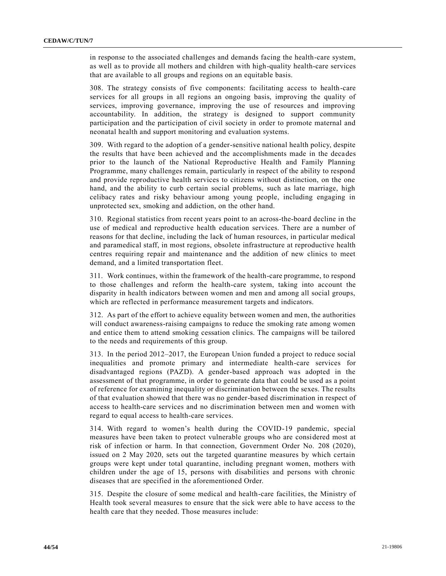in response to the associated challenges and demands facing the health-care system, as well as to provide all mothers and children with high-quality health-care services that are available to all groups and regions on an equitable basis.

308. The strategy consists of five components: facilitating access to health-care services for all groups in all regions an ongoing basis, improving the quality of services, improving governance, improving the use of resources and improving accountability. In addition, the strategy is designed to support community participation and the participation of civil society in order to promote maternal and neonatal health and support monitoring and evaluation systems.

309. With regard to the adoption of a gender-sensitive national health policy, despite the results that have been achieved and the accomplishments made in the decades prior to the launch of the National Reproductive Health and Family Planning Programme, many challenges remain, particularly in respect of the ability to respond and provide reproductive health services to citizens without distinction, on the one hand, and the ability to curb certain social problems, such as late marriage, high celibacy rates and risky behaviour among young people, including engaging in unprotected sex, smoking and addiction, on the other hand.

310. Regional statistics from recent years point to an across-the-board decline in the use of medical and reproductive health education services. There are a number of reasons for that decline, including the lack of human resources, in particular medical and paramedical staff, in most regions, obsolete infrastructure at reproductive health centres requiring repair and maintenance and the addition of new clinics to meet demand, and a limited transportation fleet.

311. Work continues, within the framework of the health-care programme, to respond to those challenges and reform the health-care system, taking into account the disparity in health indicators between women and men and among all social groups, which are reflected in performance measurement targets and indicators.

312. As part of the effort to achieve equality between women and men, the authorities will conduct awareness-raising campaigns to reduce the smoking rate among women and entice them to attend smoking cessation clinics. The campaigns will be tailored to the needs and requirements of this group.

313. In the period 2012–2017, the European Union funded a project to reduce social inequalities and promote primary and intermediate health-care services for disadvantaged regions (PAZD). A gender-based approach was adopted in the assessment of that programme, in order to generate data that could be used as a point of reference for examining inequality or discrimination between the sexes. The results of that evaluation showed that there was no gender-based discrimination in respect of access to health-care services and no discrimination between men and women with regard to equal access to health-care services.

314. With regard to women's health during the COVID-19 pandemic, special measures have been taken to protect vulnerable groups who are considered most at risk of infection or harm. In that connection, Government Order No. [208 \(2020\),](https://undocs.org/en/S/RES/208(2020)) issued on 2 May 2020, sets out the targeted quarantine measures by which certain groups were kept under total quarantine, including pregnant women, mothers with children under the age of 15, persons with disabilities and persons with chronic diseases that are specified in the aforementioned Order.

315. Despite the closure of some medical and health-care facilities, the Ministry of Health took several measures to ensure that the sick were able to have access to the health care that they needed. Those measures include: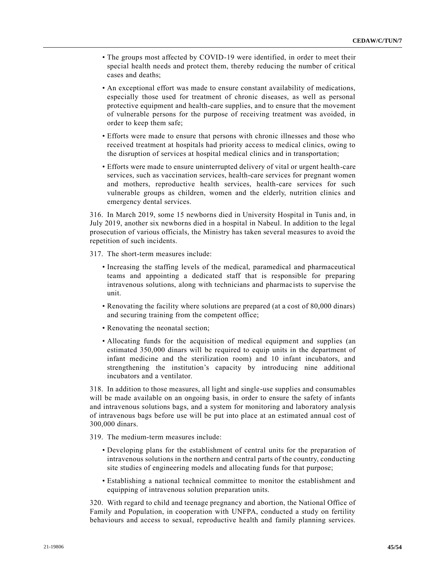- The groups most affected by COVID-19 were identified, in order to meet their special health needs and protect them, thereby reducing the number of critical cases and deaths;
- An exceptional effort was made to ensure constant availability of medications, especially those used for treatment of chronic diseases, as well as personal protective equipment and health-care supplies, and to ensure that the movement of vulnerable persons for the purpose of receiving treatment was avoided, in order to keep them safe;
- Efforts were made to ensure that persons with chronic illnesses and those who received treatment at hospitals had priority access to medical clinics, owing to the disruption of services at hospital medical clinics and in transportation;
- Efforts were made to ensure uninterrupted delivery of vital or urgent health-care services, such as vaccination services, health-care services for pregnant women and mothers, reproductive health services, health-care services for such vulnerable groups as children, women and the elderly, nutrition clinics and emergency dental services.

316. In March 2019, some 15 newborns died in University Hospital in Tunis and, in July 2019, another six newborns died in a hospital in Nabeul. In addition to the legal prosecution of various officials, the Ministry has taken several measures to avoid the repetition of such incidents.

317. The short-term measures include:

- Increasing the staffing levels of the medical, paramedical and pharmaceutical teams and appointing a dedicated staff that is responsible for preparing intravenous solutions, along with technicians and pharmacists to supervise the unit.
- Renovating the facility where solutions are prepared (at a cost of 80,000 dinars) and securing training from the competent office;
- Renovating the neonatal section;
- Allocating funds for the acquisition of medical equipment and supplies (an estimated 350,000 dinars will be required to equip units in the department of infant medicine and the sterilization room) and 10 infant incubators, and strengthening the institution's capacity by introducing nine additional incubators and a ventilator.

318. In addition to those measures, all light and single-use supplies and consumables will be made available on an ongoing basis, in order to ensure the safety of infants and intravenous solutions bags, and a system for monitoring and laboratory analysis of intravenous bags before use will be put into place at an estimated annual cost of 300,000 dinars.

- 319. The medium-term measures include:
	- Developing plans for the establishment of central units for the preparation of intravenous solutions in the northern and central parts of the country, conducting site studies of engineering models and allocating funds for that purpose;
	- Establishing a national technical committee to monitor the establishment and equipping of intravenous solution preparation units.

320. With regard to child and teenage pregnancy and abortion, the National Office of Family and Population, in cooperation with UNFPA, conducted a study on fertility behaviours and access to sexual, reproductive health and family planning services.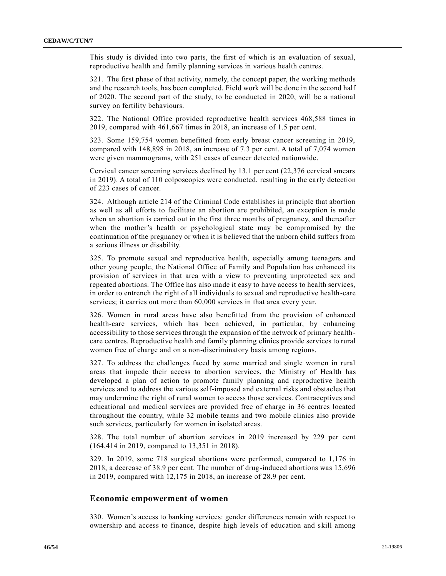This study is divided into two parts, the first of which is an evaluation of sexual, reproductive health and family planning services in various health centres.

321. The first phase of that activity, namely, the concept paper, the working methods and the research tools, has been completed. Field work will be done in the second half of 2020. The second part of the study, to be conducted in 2020, will be a national survey on fertility behaviours.

322. The National Office provided reproductive health services 468,588 times in 2019, compared with 461,667 times in 2018, an increase of 1.5 per cent.

323. Some 159,754 women benefitted from early breast cancer screening in 2019, compared with 148,898 in 2018, an increase of 7.3 per cent. A total of 7,074 women were given mammograms, with 251 cases of cancer detected nationwide.

Cervical cancer screening services declined by 13.1 per cent (22,376 cervical smears in 2019). A total of 110 colposcopies were conducted, resulting in the early detection of 223 cases of cancer.

324. Although article 214 of the Criminal Code establishes in principle that abortion as well as all efforts to facilitate an abortion are prohibited, an exception is made when an abortion is carried out in the first three months of pregnancy, and thereafter when the mother's health or psychological state may be compromised by the continuation of the pregnancy or when it is believed that the unborn child suffers from a serious illness or disability.

325. To promote sexual and reproductive health, especially among teenagers and other young people, the National Office of Family and Population has enhanced its provision of services in that area with a view to preventing unprotected sex and repeated abortions. The Office has also made it easy to have access to health services, in order to entrench the right of all individuals to sexual and reproductive health-care services; it carries out more than 60,000 services in that area every year.

326. Women in rural areas have also benefitted from the provision of enhanced health-care services, which has been achieved, in particular, by enhancing accessibility to those services through the expansion of the network of primary healthcare centres. Reproductive health and family planning clinics provide services to rural women free of charge and on a non-discriminatory basis among regions.

327. To address the challenges faced by some married and single women in rural areas that impede their access to abortion services, the Ministry of Health has developed a plan of action to promote family planning and reproductive health services and to address the various self-imposed and external risks and obstacles that may undermine the right of rural women to access those services. Contraceptives and educational and medical services are provided free of charge in 36 centres located throughout the country, while 32 mobile teams and two mobile clinics also provide such services, particularly for women in isolated areas.

328. The total number of abortion services in 2019 increased by 229 per cent (164,414 in 2019, compared to 13,351 in 2018).

329. In 2019, some 718 surgical abortions were performed, compared to 1,176 in 2018, a decrease of 38.9 per cent. The number of drug-induced abortions was 15,696 in 2019, compared with 12,175 in 2018, an increase of 28.9 per cent.

#### **Economic empowerment of women**

330. Women's access to banking services: gender differences remain with respect to ownership and access to finance, despite high levels of education and skill among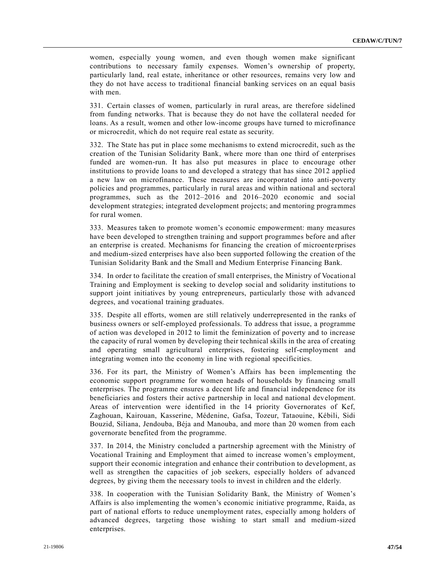women, especially young women, and even though women make significant contributions to necessary family expenses. Women's ownership of property, particularly land, real estate, inheritance or other resources, remains very low and they do not have access to traditional financial banking services on an equal basis with men.

331. Certain classes of women, particularly in rural areas, are therefore sidelined from funding networks. That is because they do not have the collateral needed for loans. As a result, women and other low-income groups have turned to microfinance or microcredit, which do not require real estate as security.

332. The State has put in place some mechanisms to extend microcredit, such as the creation of the Tunisian Solidarity Bank, where more than one third of enterprises funded are women-run. It has also put measures in place to encourage other institutions to provide loans to and developed a strategy that has since 2012 applied a new law on microfinance. These measures are incorporated into anti-poverty policies and programmes, particularly in rural areas and within national and sectoral programmes, such as the 2012–2016 and 2016–2020 economic and social development strategies; integrated development projects; and mentoring programmes for rural women.

333. Measures taken to promote women's economic empowerment: many measures have been developed to strengthen training and support programmes before and after an enterprise is created. Mechanisms for financing the creation of microente rprises and medium-sized enterprises have also been supported following the creation of the Tunisian Solidarity Bank and the Small and Medium Enterprise Financing Bank.

334. In order to facilitate the creation of small enterprises, the Ministry of Vocational Training and Employment is seeking to develop social and solidarity institutions to support joint initiatives by young entrepreneurs, particularly those with advanced degrees, and vocational training graduates.

335. Despite all efforts, women are still relatively underrepresented in the ranks of business owners or self-employed professionals. To address that issue, a programme of action was developed in 2012 to limit the feminization of poverty and to increase the capacity of rural women by developing their technical skills in the area of creating and operating small agricultural enterprises, fostering self-employment and integrating women into the economy in line with regional specificities.

336. For its part, the Ministry of Women's Affairs has been implementing the economic support programme for women heads of households by financing small enterprises. The programme ensures a decent life and financial independence for its beneficiaries and fosters their active partnership in local and national development. Areas of intervention were identified in the 14 priority Governorates of Kef, Zaghouan, Kairouan, Kasserine, Médenine, Gafsa, Tozeur, Tataouine, Kébili, Sidi Bouzid, Siliana, Jendouba, Béja and Manouba, and more than 20 women from each governorate benefited from the programme.

337. In 2014, the Ministry concluded a partnership agreement with the Ministry of Vocational Training and Employment that aimed to increase women's employment, support their economic integration and enhance their contribution to development, as well as strengthen the capacities of job seekers, especially holders of advanced degrees, by giving them the necessary tools to invest in children and the elderly.

338. In cooperation with the Tunisian Solidarity Bank, the Ministry of Women's Affairs is also implementing the women's economic initiative programme, Raida, as part of national efforts to reduce unemployment rates, especially among holders of advanced degrees, targeting those wishing to start small and medium-sized enterprises.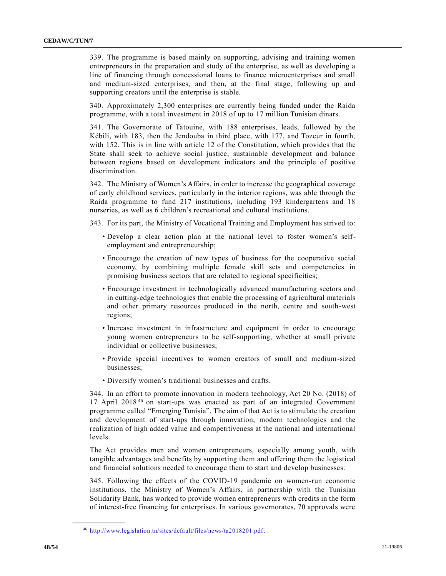339. The programme is based mainly on supporting, advising and training women entrepreneurs in the preparation and study of the enterprise, as well as developing a line of financing through concessional loans to finance microenterprises and small and medium-sized enterprises, and then, at the final stage, following up and supporting creators until the enterprise is stable.

340. Approximately 2,300 enterprises are currently being funded under the Raida programme, with a total investment in 2018 of up to 17 million Tunisian dinars.

341. The Governorate of Tatouine, with 188 enterprises, leads, followed by the Kébili, with 183, then the Jendouba in third place, with 177, and Tozeur in fourth, with 152. This is in line with article 12 of the Constitution, which provides that the State shall seek to achieve social justice, sustainable development and balance between regions based on development indicators and the principle of positive discrimination.

342. The Ministry of Women's Affairs, in order to increase the geographical coverage of early childhood services, particularly in the interior regions, was able through the Raida programme to fund 217 institutions, including 193 kindergartens and 18 nurseries, as well as 6 children's recreational and cultural institutions.

343. For its part, the Ministry of Vocational Training and Employment has strived to:

- Develop a clear action plan at the national level to foster women's selfemployment and entrepreneurship;
- Encourage the creation of new types of business for the cooperative social economy, by combining multiple female skill sets and competencies in promising business sectors that are related to regional specificities;
- Encourage investment in technologically advanced manufacturing sectors and in cutting-edge technologies that enable the processing of agricultural materials and other primary resources produced in the north, centre and south-west regions;
- Increase investment in infrastructure and equipment in order to encourage young women entrepreneurs to be self-supporting, whether at small private individual or collective businesses;
- Provide special incentives to women creators of small and medium-sized businesses;
- Diversify women's traditional businesses and crafts.

344. In an effort to promote innovation in modern technology, Act 20 No. (2018) of 17 April 2018 <sup>46</sup> on start-ups was enacted as part of an integrated Government programme called "Emerging Tunisia". The aim of that Act is to stimulate the creation and development of start-ups through innovation, modern technologies and the realization of high added value and competitiveness at the national and international levels.

The Act provides men and women entrepreneurs, especially among youth, with tangible advantages and benefits by supporting them and offering them the logistical and financial solutions needed to encourage them to start and develop businesses.

345. Following the effects of the COVID-19 pandemic on women-run economic institutions, the Ministry of Women's Affairs, in partnership with the Tunisian Solidarity Bank, has worked to provide women entrepreneurs with credits in the form of interest-free financing for enterprises. In various governorates, 70 approvals were

<sup>46</sup> [http://www.legislation.tn/sites/default/files/news/ta2018201.pdf.](http://www.legislation.tn/sites/default/files/news/ta2018201.pdf)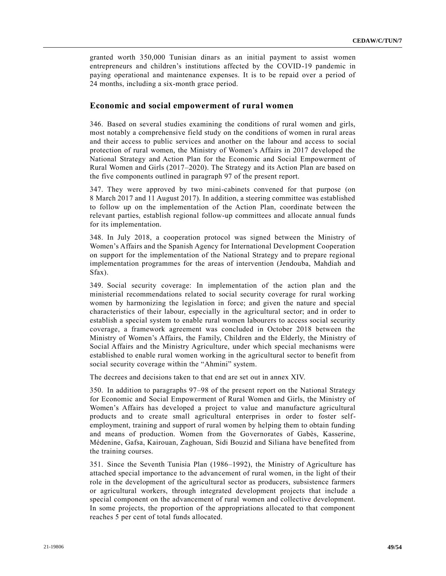granted worth 350,000 Tunisian dinars as an initial payment to assist women entrepreneurs and children's institutions affected by the COVID-19 pandemic in paying operational and maintenance expenses. It is to be repaid over a period of 24 months, including a six-month grace period.

#### **Economic and social empowerment of rural women**

346. Based on several studies examining the conditions of rural women and girls, most notably a comprehensive field study on the conditions of women in rural areas and their access to public services and another on the labour and access to social protection of rural women, the Ministry of Women's Affairs in 2017 developed the National Strategy and Action Plan for the Economic and Social Empowerment of Rural Women and Girls (2017–2020). The Strategy and its Action Plan are based on the five components outlined in paragraph 97 of the present report.

347. They were approved by two mini-cabinets convened for that purpose (on 8 March 2017 and 11 August 2017). In addition, a steering committee was established to follow up on the implementation of the Action Plan, coordinate between the relevant parties, establish regional follow-up committees and allocate annual funds for its implementation.

348. In July 2018, a cooperation protocol was signed between the Ministry of Women's Affairs and the Spanish Agency for International Development Cooperation on support for the implementation of the National Strategy and to prepare regional implementation programmes for the areas of intervention (Jendouba, Mahdiah and Sfax).

349. Social security coverage: In implementation of the action plan and the ministerial recommendations related to social security coverage for rural working women by harmonizing the legislation in force; and given the nature and special characteristics of their labour, especially in the agricultural sector; and in order to establish a special system to enable rural women labourers to access social security coverage, a framework agreement was concluded in October 2018 between the Ministry of Women's Affairs, the Family, Children and the Elderly, the Ministry of Social Affairs and the Ministry Agriculture, under which special mechanisms were established to enable rural women working in the agricultural sector to benefit from social security coverage within the "Ahmini" system.

The decrees and decisions taken to that end are set out in annex XIV.

350. In addition to paragraphs 97–98 of the present report on the National Strategy for Economic and Social Empowerment of Rural Women and Girls, the Ministry of Women's Affairs has developed a project to value and manufacture agricultural products and to create small agricultural enterprises in order to foster selfemployment, training and support of rural women by helping them to obtain funding and means of production. Women from the Governorates of Gabès, Kasserine, Médenine, Gafsa, Kairouan, Zaghouan, Sidi Bouzid and Siliana have benefited from the training courses.

351. Since the Seventh Tunisia Plan (1986–1992), the Ministry of Agriculture has attached special importance to the advancement of rural women, in the light of their role in the development of the agricultural sector as producers, subsistence farmers or agricultural workers, through integrated development projects that include a special component on the advancement of rural women and collective development. In some projects, the proportion of the appropriations allocated to that component reaches 5 per cent of total funds allocated.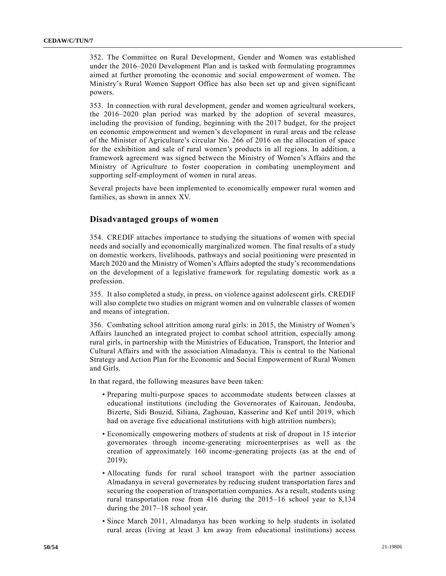352. The Committee on Rural Development, Gender and Women was established under the 2016–2020 Development Plan and is tasked with formulating programmes aimed at further promoting the economic and social empowerment of women. The Ministry's Rural Women Support Office has also been set up and given significant powers.

353. In connection with rural development, gender and women agricultural workers, the 2016–2020 plan period was marked by the adoption of several measures, including the provision of funding, beginning with the 2017 budget, for the project on economic empowerment and women's development in rural areas and the release of the Minister of Agriculture's circular No. 266 of 2016 on the allocation of space for the exhibition and sale of rural women's products in all regions. In addition, a framework agreement was signed between the Ministry of Women's Affairs and the Ministry of Agriculture to foster cooperation in combating unemployment and supporting self-employment of women in rural areas.

Several projects have been implemented to economically empower rural women and families, as shown in annex XV.

#### **Disadvantaged groups of women**

354. CREDIF attaches importance to studying the situations of women with special needs and socially and economically marginalized women. The final results of a study on domestic workers, livelihoods, pathways and social positioning were presented in March 2020 and the Ministry of Women's Affairs adopted the study's recommendations on the development of a legislative framework for regulating domestic work as a profession.

355. It also completed a study, in press, on violence against adolescent girls. CREDIF will also complete two studies on migrant women and on vulnerable classes of women and means of integration.

356. Combating school attrition among rural girls: in 2015, the Ministry of Women's Affairs launched an integrated project to combat school attrition, especially among rural girls, in partnership with the Ministries of Education, Transport, the Interior and Cultural Affairs and with the association Almadanya. This is central to the National Strategy and Action Plan for the Economic and Social Empowerment of Rural Women and Girls.

In that regard, the following measures have been taken:

- Preparing multi-purpose spaces to accommodate students between classes at educational institutions (including the Governorates of Kairouan, Jendouba, Bizerte, Sidi Bouzid, Siliana, Zaghouan, Kasserine and Kef until 2019, which had on average five educational institutions with high attrition numbers);
- Economically empowering mothers of students at risk of dropout in 15 interior governorates through income-generating microenterprises as well as the creation of approximately 160 income-generating projects (as at the end of 2019);
- Allocating funds for rural school transport with the partner association Almadanya in several governorates by reducing student transportation fares and securing the cooperation of transportation companies. As a result, students using rural transportation rose from 416 during the 2015–16 school year to 8,134 during the 2017–18 school year.
- Since March 2011, Almadanya has been working to help students in isolated rural areas (living at least 3 km away from educational institutions) access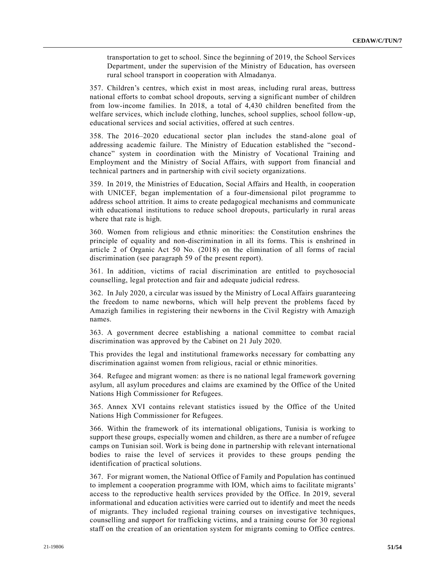transportation to get to school. Since the beginning of 2019, the School Services Department, under the supervision of the Ministry of Education, has overseen rural school transport in cooperation with Almadanya.

357. Children's centres, which exist in most areas, including rural areas, buttress national efforts to combat school dropouts, serving a significant number of children from low-income families. In 2018, a total of 4,430 children benefited from the welfare services, which include clothing, lunches, school supplies, school follow-up, educational services and social activities, offered at such centres.

358. The 2016–2020 educational sector plan includes the stand-alone goal of addressing academic failure. The Ministry of Education established the "secondchance" system in coordination with the Ministry of Vocational Training and Employment and the Ministry of Social Affairs, with support from financial and technical partners and in partnership with civil society organizations.

359. In 2019, the Ministries of Education, Social Affairs and Health, in cooperation with UNICEF, began implementation of a four-dimensional pilot programme to address school attrition. It aims to create pedagogical mechanisms and communicate with educational institutions to reduce school dropouts, particularly in rural areas where that rate is high.

360. Women from religious and ethnic minorities: the Constitution enshrines the principle of equality and non-discrimination in all its forms. This is enshrined in article 2 of Organic Act 50 No. (2018) on the elimination of all forms of racial discrimination (see paragraph 59 of the present report).

361. In addition, victims of racial discrimination are entitled to psychosocial counselling, legal protection and fair and adequate judicial redress.

362. In July 2020, a circular was issued by the Ministry of Local Affairs guaranteeing the freedom to name newborns, which will help prevent the problems faced by Amazigh families in registering their newborns in the Civil Registry with Amazigh names.

363. A government decree establishing a national committee to combat racial discrimination was approved by the Cabinet on 21 July 2020.

This provides the legal and institutional frameworks necessary for combatting any discrimination against women from religious, racial or ethnic minorities.

364. Refugee and migrant women: as there is no national legal framework governing asylum, all asylum procedures and claims are examined by the Office of the United Nations High Commissioner for Refugees.

365. Annex XVI contains relevant statistics issued by the Office of the United Nations High Commissioner for Refugees.

366. Within the framework of its international obligations, Tunisia is working to support these groups, especially women and children, as there are a number of refugee camps on Tunisian soil. Work is being done in partnership with relevant international bodies to raise the level of services it provides to these groups pending the identification of practical solutions.

367. For migrant women, the National Office of Family and Population has continued to implement a cooperation programme with IOM, which aims to facilitate migrants' access to the reproductive health services provided by the Office. In 2019, several informational and education activities were carried out to identify and meet the needs of migrants. They included regional training courses on investigative techniques, counselling and support for trafficking victims, and a training course for 30 regional staff on the creation of an orientation system for migrants coming to Office centres.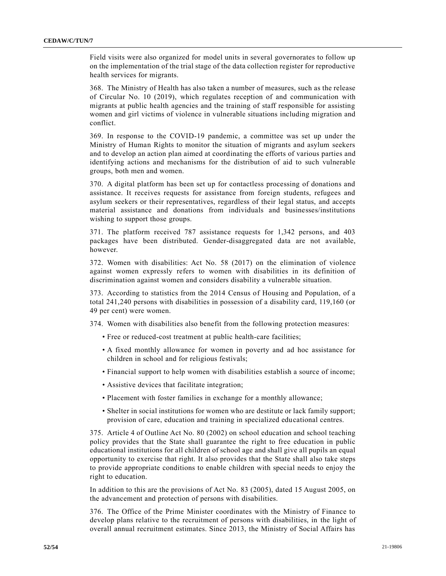Field visits were also organized for model units in several governorates to follow up on the implementation of the trial stage of the data collection register for reproductive health services for migrants.

368. The Ministry of Health has also taken a number of measures, such as the release of Circular No. [10 \(2019\),](https://undocs.org/en/S/RES/10(2019)) which regulates reception of and communication with migrants at public health agencies and the training of staff responsible for assisting women and girl victims of violence in vulnerable situations including migration and conflict.

369. In response to the COVID-19 pandemic, a committee was set up under the Ministry of Human Rights to monitor the situation of migrants and asylum seekers and to develop an action plan aimed at coordinating the efforts of various parties and identifying actions and mechanisms for the distribution of aid to such vulnerable groups, both men and women.

370. A digital platform has been set up for contactless processing of donations and assistance. It receives requests for assistance from foreign students, refugees and asylum seekers or their representatives, regardless of their legal status, and accepts material assistance and donations from individuals and businesses/institutions wishing to support those groups.

371. The platform received 787 assistance requests for 1,342 persons, and 403 packages have been distributed. Gender-disaggregated data are not available, however.

372. Women with disabilities: Act No. [58 \(2017\)](https://undocs.org/en/S/RES/58(2017)) on the elimination of violence against women expressly refers to women with disabilities in its definition of discrimination against women and considers disability a vulnerable situation.

373. According to statistics from the 2014 Census of Housing and Population, of a total 241,240 persons with disabilities in possession of a disability card, 119,160 (or 49 per cent) were women.

374. Women with disabilities also benefit from the following protection measures:

- Free or reduced-cost treatment at public health-care facilities;
- A fixed monthly allowance for women in poverty and ad hoc assistance for children in school and for religious festivals;
- Financial support to help women with disabilities establish a source of income;
- Assistive devices that facilitate integration;
- Placement with foster families in exchange for a monthly allowance;
- Shelter in social institutions for women who are destitute or lack family support; provision of care, education and training in specialized educational centres.

375. Article 4 of Outline Act No. [80 \(2002\)](https://undocs.org/en/S/RES/80(2002)) on school education and school teaching policy provides that the State shall guarantee the right to free education in public educational institutions for all children of school age and shall give all pupils an equal opportunity to exercise that right. It also provides that the State shall also take steps to provide appropriate conditions to enable children with special needs to enjoy the right to education.

In addition to this are the provisions of Act No. [83 \(2005\),](https://undocs.org/en/S/RES/83(2005)) dated 15 August 2005, on the advancement and protection of persons with disabilities.

376. The Office of the Prime Minister coordinates with the Ministry of Finance to develop plans relative to the recruitment of persons with disabilities, in the light of overall annual recruitment estimates. Since 2013, the Ministry of Social Affairs has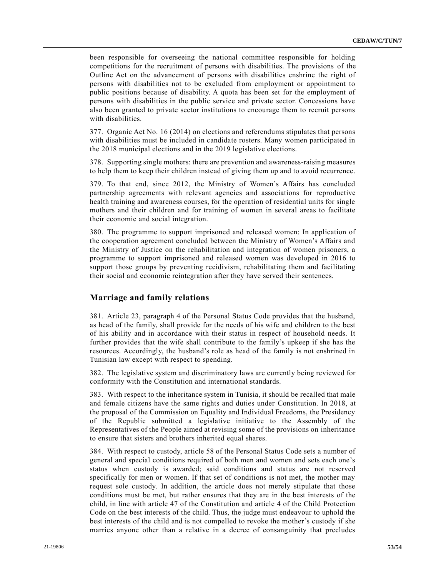been responsible for overseeing the national committee responsible for holding competitions for the recruitment of persons with disabilities. The provisions of the Outline Act on the advancement of persons with disabilities enshrine the right of persons with disabilities not to be excluded from employment or appointment to public positions because of disability. A quota has been set for the employment of persons with disabilities in the public service and private sector. Concessions have also been granted to private sector institutions to encourage them to recruit persons with disabilities.

377. Organic Act No. [16 \(2014\)](https://undocs.org/en/S/RES/16(2014)) on elections and referendums stipulates that persons with disabilities must be included in candidate rosters. Many women participated in the 2018 municipal elections and in the 2019 legislative elections.

378. Supporting single mothers: there are prevention and awareness-raising measures to help them to keep their children instead of giving them up and to avoid recurrence.

379. To that end, since 2012, the Ministry of Women's Affairs has concluded partnership agreements with relevant agencies and associations for reproductive health training and awareness courses, for the operation of residential units for single mothers and their children and for training of women in several areas to facilitate their economic and social integration.

380. The programme to support imprisoned and released women: In application of the cooperation agreement concluded between the Ministry of Women's Affairs and the Ministry of Justice on the rehabilitation and integration of women prisoners, a programme to support imprisoned and released women was developed in 2016 to support those groups by preventing recidivism, rehabilitating them and facilitating their social and economic reintegration after they have served their sentences.

#### **Marriage and family relations**

381. Article 23, paragraph 4 of the Personal Status Code provides that the husband, as head of the family, shall provide for the needs of his wife and children to the best of his ability and in accordance with their status in respect of household needs. It further provides that the wife shall contribute to the family's upkeep if she has the resources. Accordingly, the husband's role as head of the family is not enshrined in Tunisian law except with respect to spending.

382. The legislative system and discriminatory laws are currently being reviewed for conformity with the Constitution and international standards.

383. With respect to the inheritance system in Tunisia, it should be recalled that male and female citizens have the same rights and duties under Constitution. In 2018, at the proposal of the Commission on Equality and Individual Freedoms, the Presidency of the Republic submitted a legislative initiative to the Assembly of the Representatives of the People aimed at revising some of the provisions on inheritance to ensure that sisters and brothers inherited equal shares.

384. With respect to custody, article 58 of the Personal Status Code sets a number of general and special conditions required of both men and women and sets each one's status when custody is awarded; said conditions and status are not reserved specifically for men or women. If that set of conditions is not met, the mother may request sole custody. In addition, the article does not merely stipulate that those conditions must be met, but rather ensures that they are in the best interests of the child, in line with article 47 of the Constitution and article 4 of the Child Protection Code on the best interests of the child. Thus, the judge must endeavour to uphold the best interests of the child and is not compelled to revoke the mother's custody if she marries anyone other than a relative in a decree of consanguinity that precludes